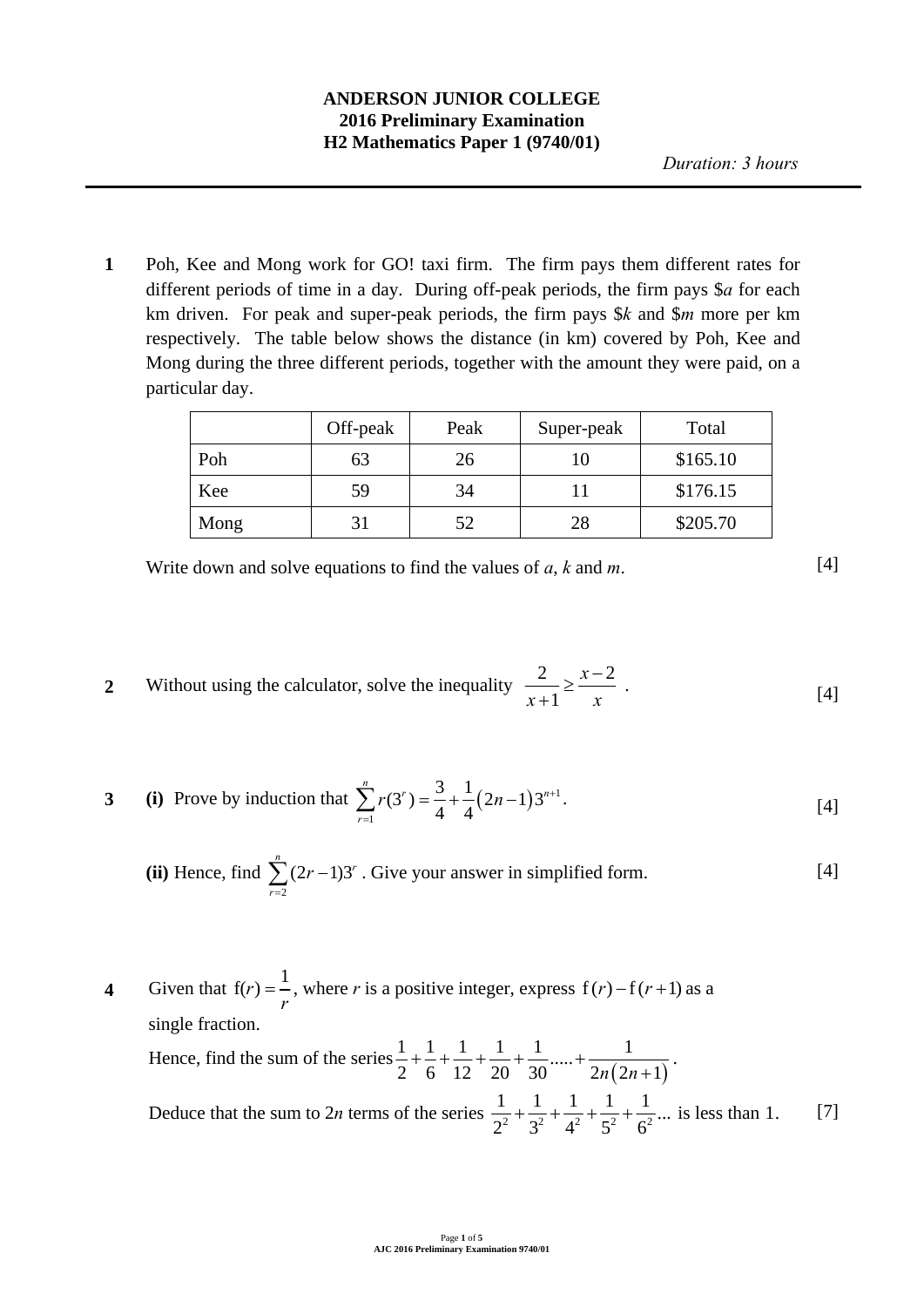# **ANDERSON JUNIOR COLLEGE 2016 Preliminary Examination H2 Mathematics Paper 1 (9740/01)**

**1** Poh, Kee and Mong work for GO! taxi firm. The firm pays them different rates for different periods of time in a day. During off-peak periods, the firm pays \$*a* for each km driven. For peak and super-peak periods, the firm pays \$*k* and \$*m* more per km respectively. The table below shows the distance (in km) covered by Poh, Kee and Mong during the three different periods, together with the amount they were paid, on a particular day.

|      | Off-peak | Peak | Super-peak | Total    |
|------|----------|------|------------|----------|
| Poh  | 63       | 26   |            | \$165.10 |
| Kee  | 59       | 34   |            | \$176.15 |
| Mong | 31       |      | 28         | \$205.70 |

Write down and solve equations to find the values of  $a$ ,  $k$  and  $m$ . [4]

**2** Without using the calculator, solve the inequality  $\frac{2}{1} \ge \frac{x-2}{x-2}$ 1 *x*  $x+1$ <sup>-</sup> *x*  $\geq \frac{x-1}{x-1}$  $\frac{2}{x+1} \ge \frac{x-2}{x}$ . [4]

3 (i) Prove by induction that 
$$
\sum_{r=1}^{n} r(3^r) = \frac{3}{4} + \frac{1}{4} (2n - 1) 3^{n+1}.
$$
 [4]

(ii) Hence, find 
$$
\sum_{r=2}^{n} (2r-1)3^r
$$
. Give your answer in simplified form. [4]

Given that 
$$
f(r) = \frac{1}{r}
$$
, where *r* is a positive integer, express  $f(r) - f(r+1)$  as a  
single fraction.  
Hence, find the sum of the series  $\frac{1}{2} + \frac{1}{6} + \frac{1}{12} + \frac{1}{20} + \frac{1}{30} + \dots + \frac{1}{2n(2n+1)}$ .  
Deduce that the sum to 2*n* terms of the series  $\frac{1}{2^2} + \frac{1}{3^2} + \frac{1}{4^2} + \frac{1}{5^2} + \frac{1}{6^2} + \dots$  is less than 1. [7]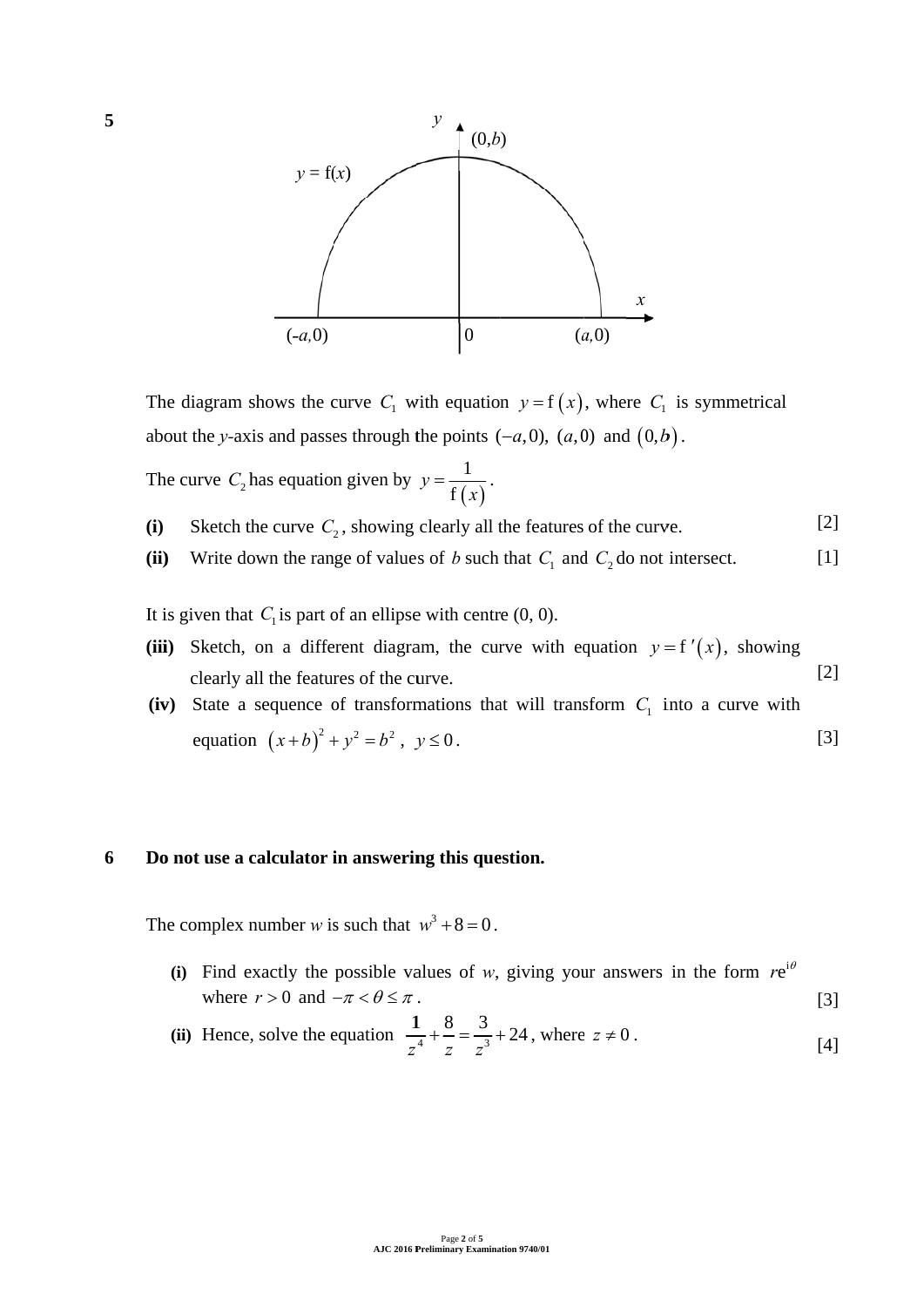

The diagram shows the curve  $C_1$  with equation  $y = f(x)$ , where  $C_1$  is symmetrical about the *y*-axis and passes through the points  $(-a, 0)$ ,  $(a, 0)$  and  $(0, b)$ .

The curve  $C_2$  has equation given by  $(x)$  $y = \frac{1}{f(x)}$ .

- **(i)** Sketch the curve  $C_2$ , showing clearly all the features of the curve. [2]
- **(ii)** Write down the range of values of *b* such that  $C_1$  and  $C_2$  do not intersect. [1]

It is given that  $C_1$  is part of an ellipse with centre  $(0, 0)$ .

- (iii) Sketch, on a different diagram, the curve with equation  $y = f'(x)$ , showing clearly all the features of the curve. [2]
- (iv) State a sequence of transformations that will transform  $C_1$  into a curve with equation  $(x+b)^2 + y^2 = b^2$ ,  $y \le 0$ . [3] ]]<br>]]<br>]]

#### **6** Do not use a calculator in answering this question.

The complex number *w* is such that  $w^3 + 8 = 0$ .

- (i) Find exactly the possible values of *w*, giving your answers in the form  $re^{i\theta}$ where  $r > 0$  and  $-\pi < \theta \le \pi$ . [3]
- (ii) Hence, solve the equation  $\frac{1}{2}$  $z^4$   $z^2$   $z^3$  8 3 *z z*  $\frac{8}{2} + \frac{3}{2} + 24$ , where  $z \neq 0$ . [4]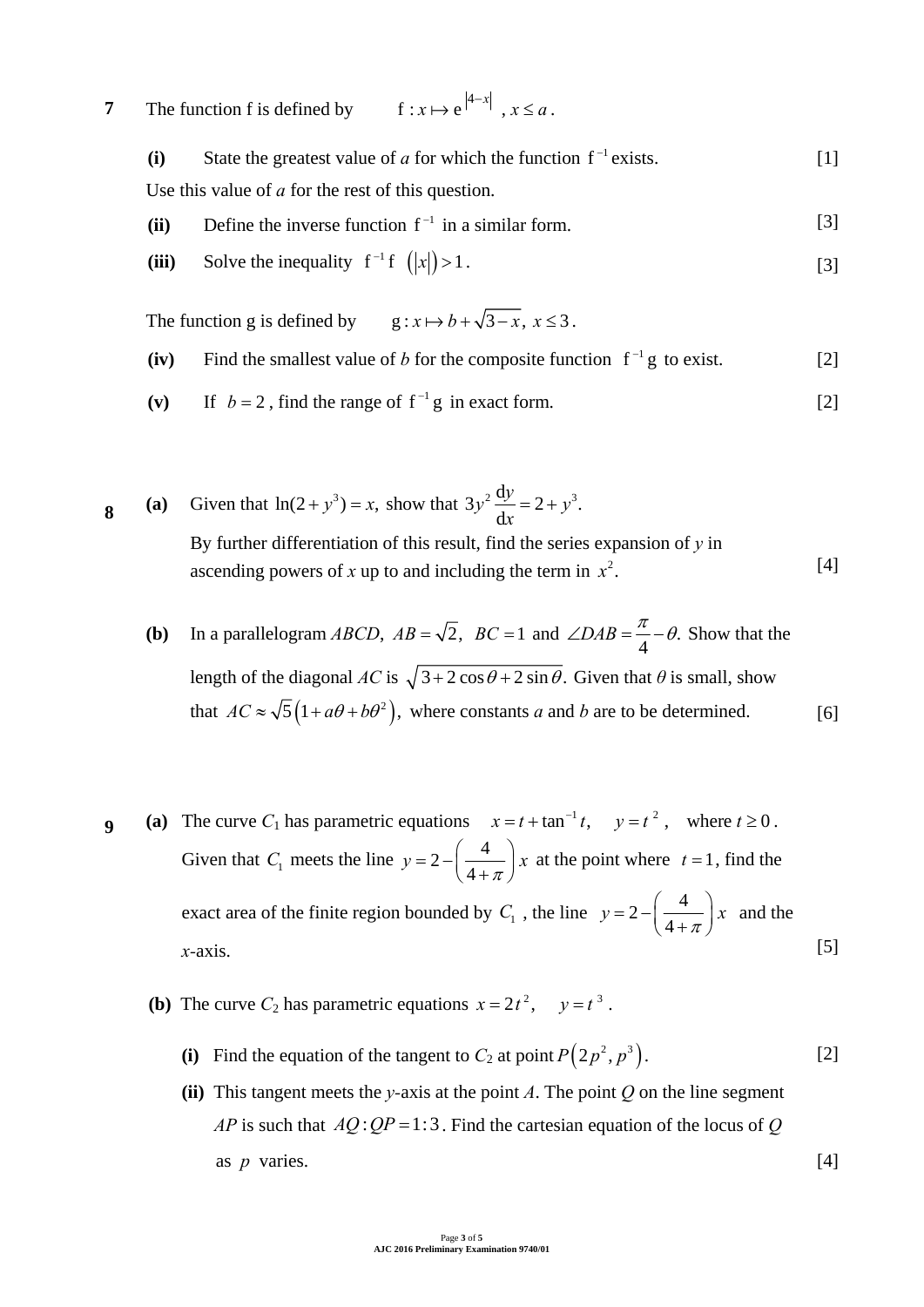**7** The function f is defined by  $f: x \mapsto e^{|4-x|}$ ,  $x \le a$ .

| (i)  | State the greatest value of a for which the function $f^{-1}$ exists. | $\lceil 1 \rceil$ |
|------|-----------------------------------------------------------------------|-------------------|
|      | Use this value of $a$ for the rest of this question.                  |                   |
| (ii) | Define the inverse function $f^{-1}$ in a similar form.               | $\lceil 3 \rceil$ |

(iii) Solve the inequality  $f^{-1} f (x) > 1$ . [3]

The function g is defined by  $g: x \mapsto b + \sqrt{3-x}, x \le 3$ .

- (iv) Find the smallest value of *b* for the composite function  $f^{-1}g$  to exist. [2]
- (v) If  $b = 2$ , find the range of  $f^{-1}g$  in exact form. [2]

**8** (a) Given that  $\ln(2 + y^3) = x$ , show that  $3y^2 \frac{dy}{dx} = 2 + y^3$ .  $y^2 \frac{dy}{dx} = 2 + y$ *x*  $= 2 + y^3$ . By further differentiation of this result, find the series expansion of *y* in ascending powers of x up to and including the term in  $x^2$ . [4]

- **(b)** In a parallelogram *ABCD*,  $AB = \sqrt{2}$ ,  $BC = 1$  and  $\angle DAB = \frac{\pi}{4} \theta$ . Show that the length of the diagonal  $AC$  is  $\sqrt{3 + 2\cos\theta + 2\sin\theta}$ . Given that  $\theta$  is small, show that  $AC \approx \sqrt{5}(1 + a\theta + b\theta^2)$ , where constants *a* and *b* are to be determined. [6]
- **9** (a) The curve  $C_1$  has parametric equations  $x = t + \tan^{-1} t$ ,  $y = t^2$ , where  $t \ge 0$ . Given that  $C_1$  meets the line  $y = 2 - \left(\frac{4}{4 + \pi}\right)x$  at the point where  $t = 1$ , find the exact area of the finite region bounded by  $C_1$ , the line  $y = 2 - \left(\frac{4}{4 + \pi}\right)x$  and the *x-*axis. [5]
	- **(b)** The curve  $C_2$  has parametric equations  $x = 2t^2$ ,  $y = t^3$ .
		- (i) Find the equation of the tangent to  $C_2$  at point  $P(2p^2, p^3)$ . [2]
		- **(ii)** This tangent meets the *y*-axis at the point *A*. The point *Q* on the line segment *AP* is such that  $AQ:QP = 1:3$ . Find the cartesian equation of the locus of *Q*  as *p* varies. [4]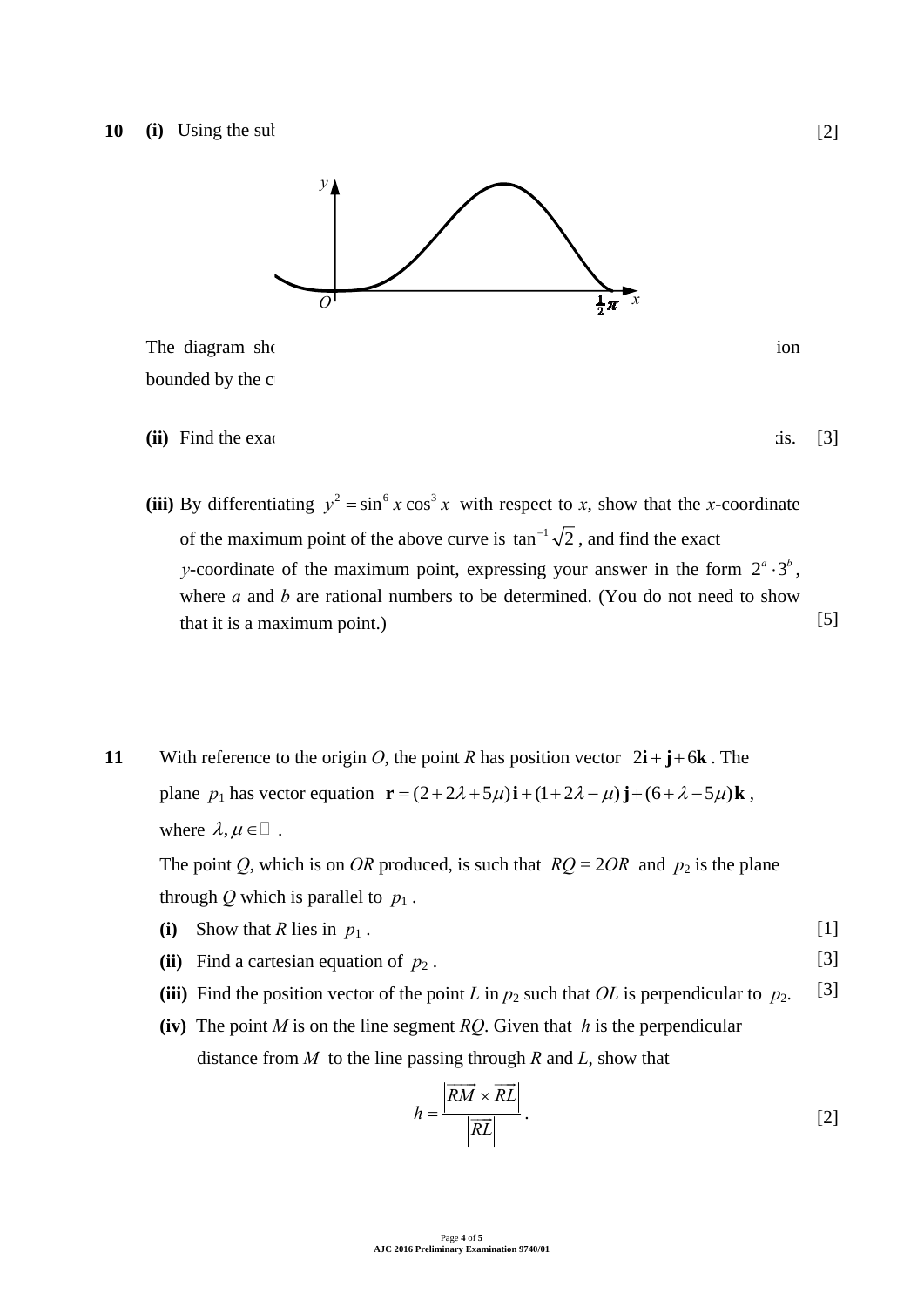

The diagram shows part of the curve with equation 3 3  $\mu$  xx sin cos . The region 3 3  $\mu$  sin cos . The region 3 3  $\mu$  sin cos . The region 3 3  $\mu$  sin cos . The region 3  $\mu$  sin cos . The region 3  $\mu$  sin cos . The bounded by the c

- **(ii)** Find the exact volume of revolution when *R* is rotated complete complete complete complete complete complete  $\alpha$
- (iii) By differentiating  $y^2 = \sin^6 x \cos^3 x$  with respect to *x*, show that the *x*-coordinate of the maximum point of the above curve is  $\tan^{-1}\sqrt{2}$ , and find the exact *y*-coordinate of the maximum point, expressing your answer in the form  $2^a \cdot 3^b$ . where *a* and *b* are rational numbers to be determined. (You do not need to show that it is a maximum point.) [5]

**11** With reference to the origin *O*, the point *R* has position vector  $2\mathbf{i} + \mathbf{j} + 6\mathbf{k}$ . The plane  $p_1$  has vector equation  $\mathbf{r} = (2 + 2\lambda + 5\mu)\mathbf{i} + (1 + 2\lambda - \mu)\mathbf{j} + (6 + \lambda - 5\mu)\mathbf{k}$ , where  $\lambda, \mu \in \mathbb{R}$ .

The point *Q*, which is on *OR* produced, is such that  $RQ = 2OR$  and  $p_2$  is the plane through *Q* which is parallel to  $p_1$ .

- **(i)** Show that *R* lies in  $p_1$ . [1]
- **(ii)** Find a cartesian equation of  $p_2$ . [3]
- (iii) Find the position vector of the point *L* in  $p_2$  such that *OL* is perpendicular to  $p_2$ . [3]
- **(iv)** The point *M* is on the line segment *RQ*. Given that *h* is the perpendicular distance from *M* to the line passing through *R* and *L*, show that

$$
h = \frac{\left| \overrightarrow{RM} \times \overrightarrow{RL} \right|}{\left| \overrightarrow{RL} \right|} \,. \tag{2}
$$

[3]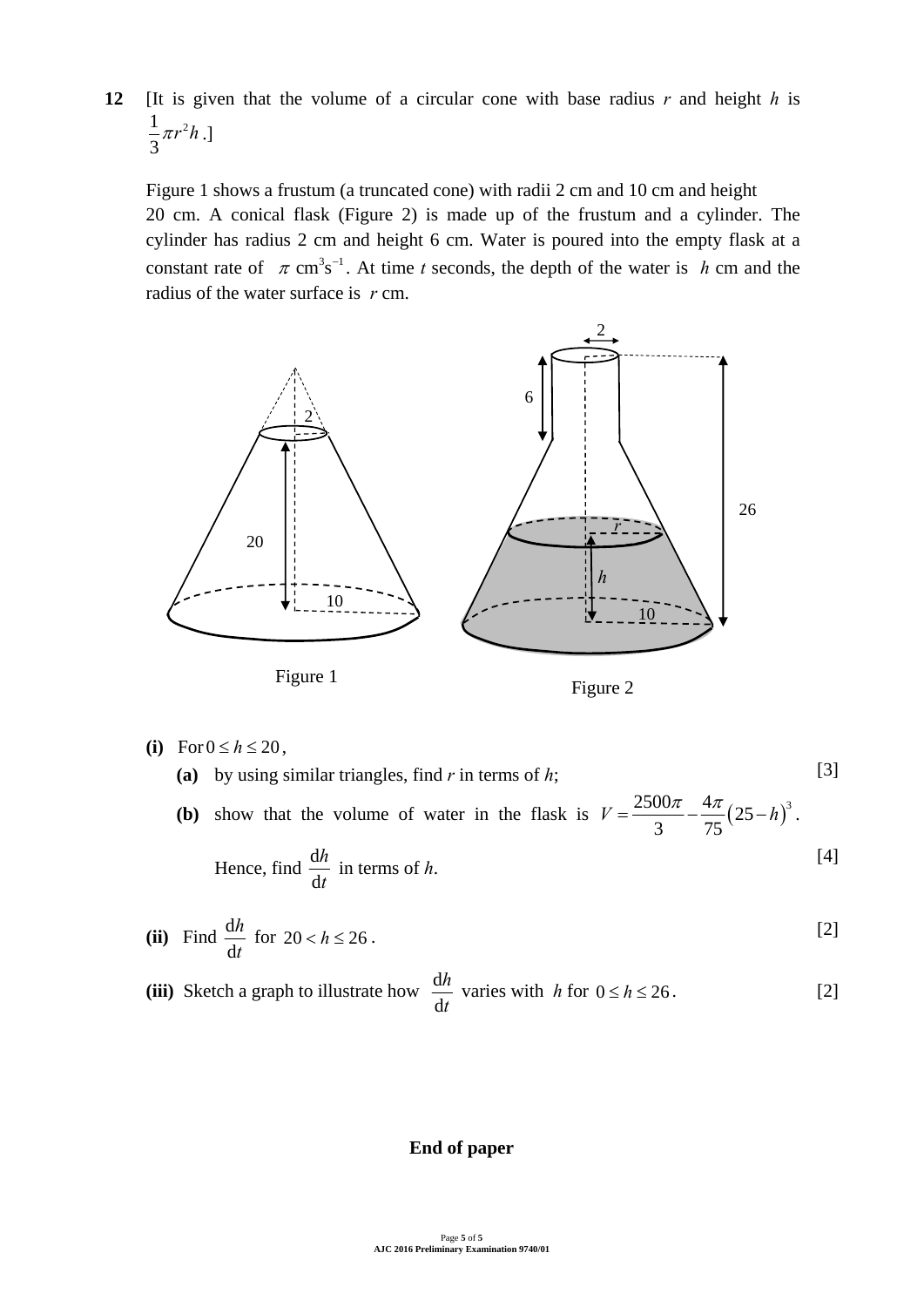**12** [It is given that the volume of a circular cone with base radius *r* and height *h* is  $1 - u^2$ 3  $\pi r^2 h$ .]

Figure 1 shows a frustum (a truncated cone) with radii 2 cm and 10 cm and height 20 cm. A conical flask (Figure 2) is made up of the frustum and a cylinder. The cylinder has radius 2 cm and height 6 cm. Water is poured into the empty flask at a constant rate of  $\pi$  cm<sup>3</sup>s<sup>-1</sup>. At time *t* seconds, the depth of the water is *h* cm and the radius of the water surface is *r* cm.





$$
(i) \quad \text{For } 0 \le h \le 20 \,,
$$

**(a)** by using similar triangles, find *r* in terms of *h*; **(b)** show that the volume of water in the flask is  $V = \frac{2500\pi}{\sigma} - \frac{4\pi}{\sigma^2} (25 - h)^3$ 3 75  $V = \frac{2500\pi}{\pi} - \frac{4\pi}{\pi} (25 - h)^3$ . Hence, find  $\frac{d}{dx}$ d *h t* in terms of *h*. [3] [4]

(ii) Find 
$$
\frac{dh}{dt}
$$
 for  $20 < h \le 26$ . [2]

(iii) Sketch a graph to illustrate how 
$$
\frac{dh}{dt}
$$
 varies with  $h$  for  $0 \le h \le 26$ . [2]

### **End of paper**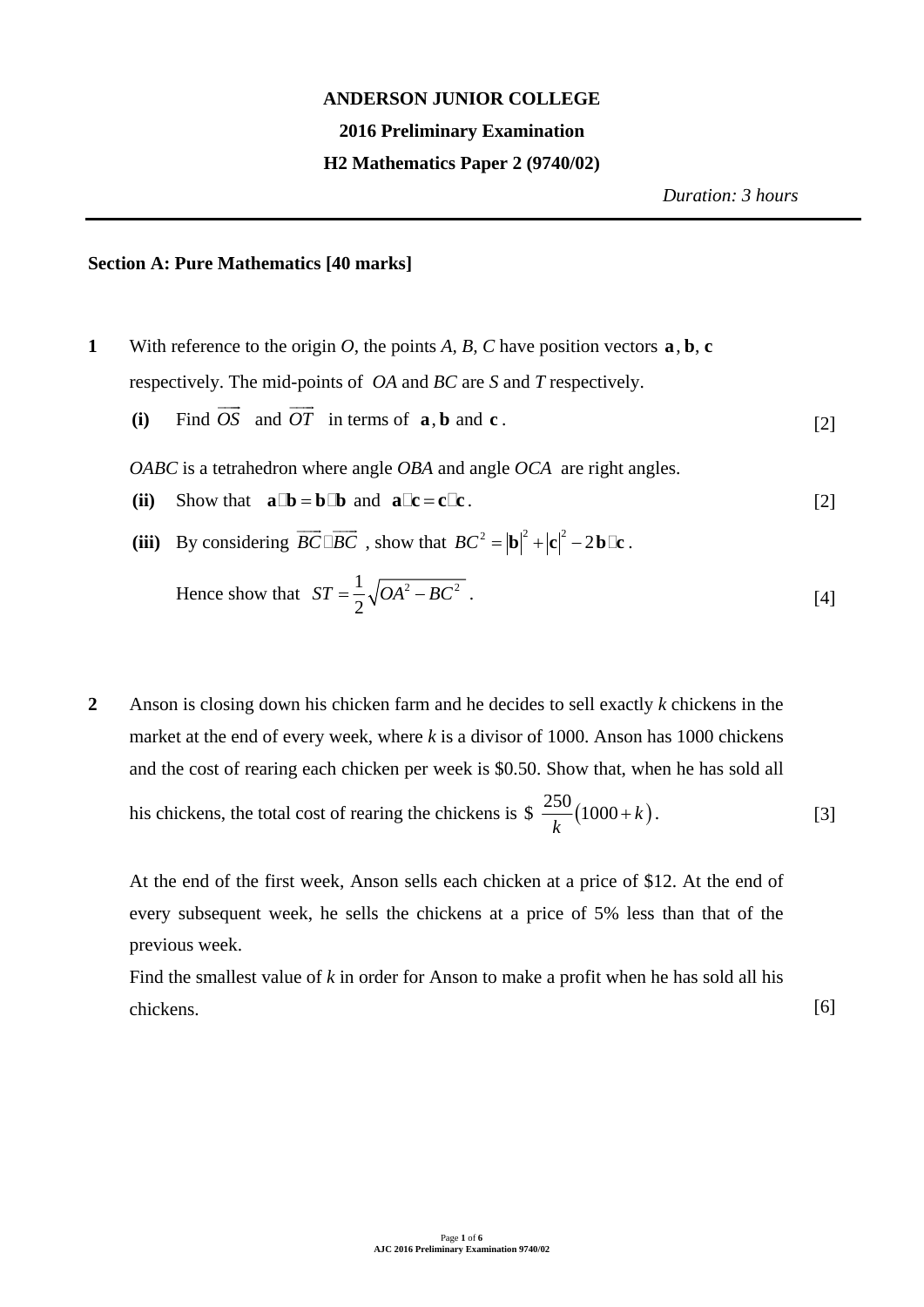### **ANDERSON JUNIOR COLLEGE**

### **2016 Preliminary Examination**

### **H2 Mathematics Paper 2 (9740/02)**

*Duration: 3 hours*

## **Section A: Pure Mathematics [40 marks]**

- **1** With reference to the origin *O*, the points *A*, *B*, *C* have position vectors  $\bf{a}$ ,  $\bf{b}$ ,  $\bf{c}$ respectively. The mid-points of *OA* and *BC* are *S* and *T* respectively.
	- **(i)** Find  $\overrightarrow{OS}$  and  $\overrightarrow{OT}$  in terms of **a**, **b** and **c**. [2]

*OABC* is a tetrahedron where angle *OBA* and angle *OCA* are right angles.

- **(ii)** Show that  $\mathbf{a} \mathbb{D} = \mathbf{b} \mathbb{D}$  and  $\mathbf{a} \mathbb{C} = \mathbf{c} \mathbb{C} \mathbf{c}$ . [2]
- (iii) By considering  $\overrightarrow{BC} \square \overrightarrow{BC}$ , show that  $BC^2 = |\mathbf{b}|^2 + |\mathbf{c}|^2 2\mathbf{b}\square \mathbf{c}$ .

Hence show that 
$$
ST = \frac{1}{2} \sqrt{OA^2 - BC^2}
$$
 (4)

**2** Anson is closing down his chicken farm and he decides to sell exactly *k* chickens in the market at the end of every week, where *k* is a divisor of 1000. Anson has 1000 chickens and the cost of rearing each chicken per week is \$0.50. Show that, when he has sold all his chickens, the total cost of rearing the chickens is  $\frac{250}{1} (1000 + k)$ *k*  $+k$ ). [3]

At the end of the first week, Anson sells each chicken at a price of \$12. At the end of every subsequent week, he sells the chickens at a price of 5% less than that of the previous week.

Find the smallest value of *k* in order for Anson to make a profit when he has sold all his chickens. [6]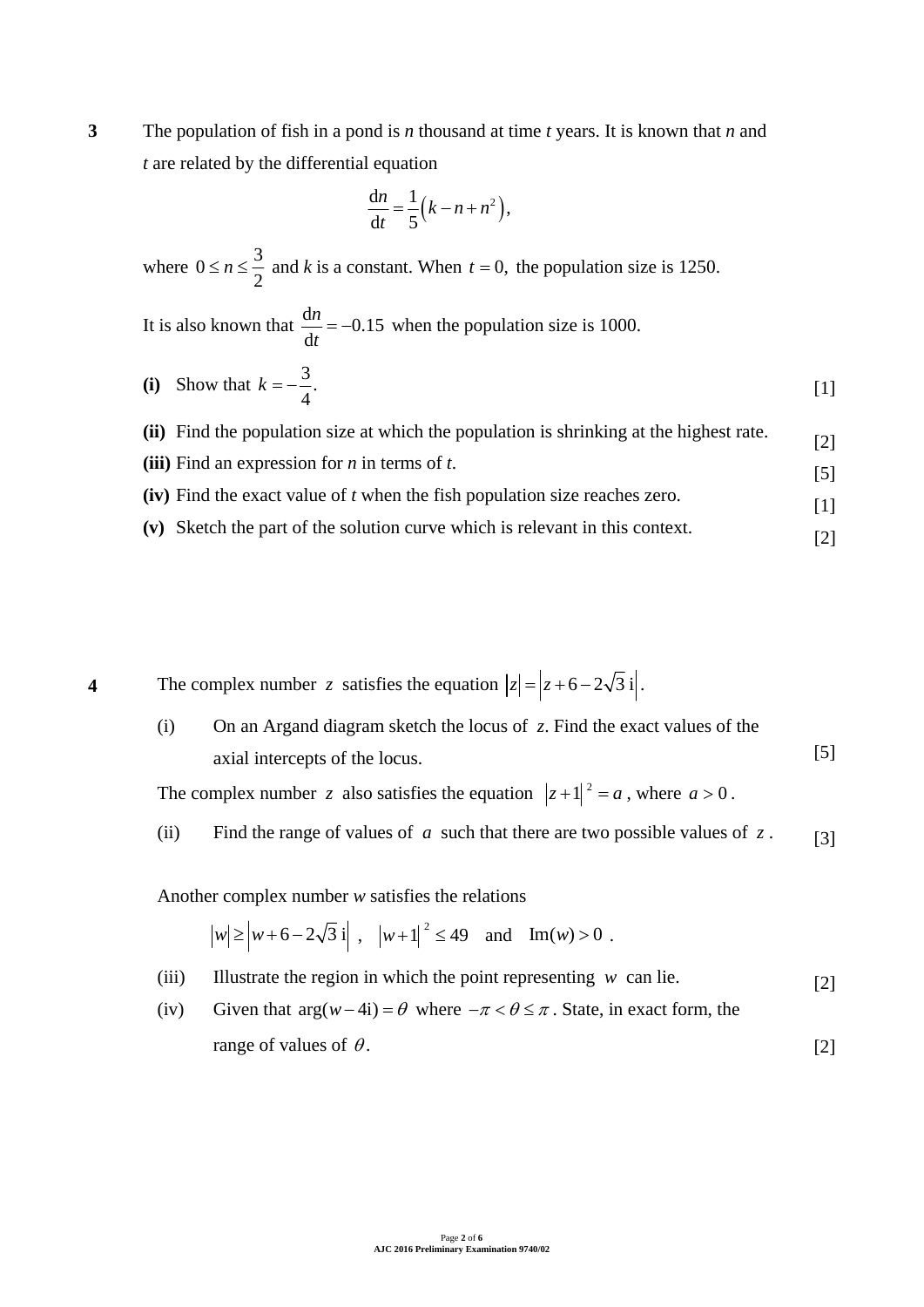**3** The population of fish in a pond is *n* thousand at time *t* years. It is known that *n* and *t* are related by the differential equation

$$
\frac{\mathrm{d}n}{\mathrm{d}t} = \frac{1}{5}\left(k - n + n^2\right),
$$

where  $0 \le n \le \frac{3}{2}$ 2  $\leq n \leq \frac{3}{2}$  and *k* is a constant. When  $t = 0$ , the population size is 1250.

It is also known that 
$$
\frac{dn}{dt} = -0.15
$$
 when the population size is 1000.

(i) Show that 
$$
k = -\frac{3}{4}
$$
. [1]

**(ii)** Find the population size at which the population is shrinking at the highest rate. **(iii)** Find an expression for *n* in terms of *t*. [2]

- **(iv)** Find the exact value of *t* when the fish population size reaches zero. [5]
- **(v)** Sketch the part of the solution curve which is relevant in this context. [2]

[1]

**4** The complex number *z* satisfies the equation  $|z| = |z + 6 - 2\sqrt{3}i|$ .

(i) On an Argand diagram sketch the locus of *z*. Find the exact values of the axial intercepts of the locus. [5]

The complex number *z* also satisfies the equation  $|z+1|^2 = a$ , where  $a > 0$ .

(ii) Find the range of values of *a* such that there are two possible values of  $z$ . [3]

Another complex number *w* satisfies the relations

 $|w| \ge |w+6-2\sqrt{3}i|$ ,  $|w+1|^2 \le 49$  and  $\text{Im}(w) > 0$ .

- (iii) Illustrate the region in which the point representing  $w$  can lie. [2]
- (iv) Given that  $\arg(w-4i) = \theta$  where  $-\pi < \theta \le \pi$ . State, in exact form, the range of values of  $\theta$ . [2]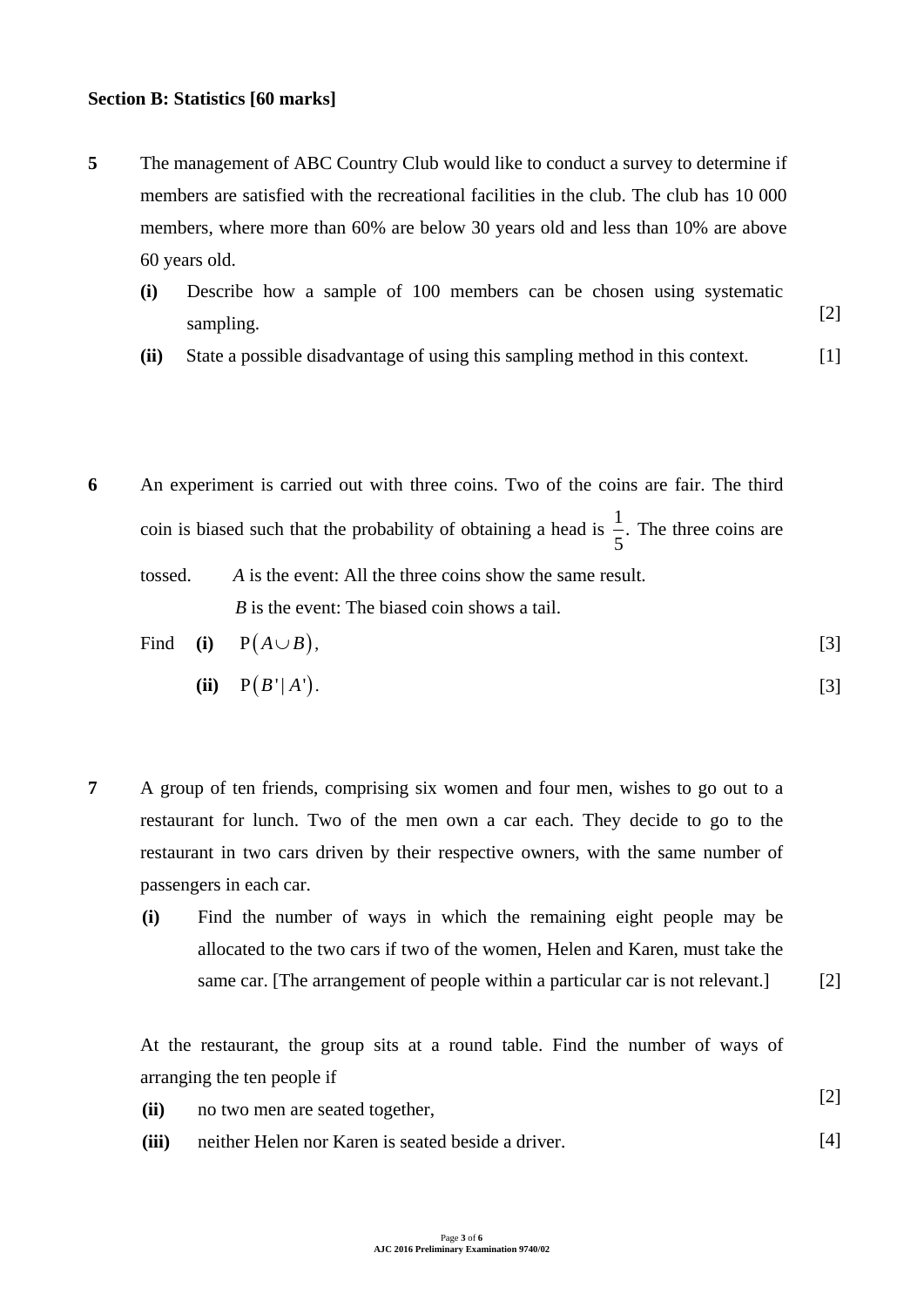#### **Section B: Statistics [60 marks]**

- **5** The management of ABC Country Club would like to conduct a survey to determine if members are satisfied with the recreational facilities in the club. The club has 10 000 members, where more than 60% are below 30 years old and less than 10% are above 60 years old.
	- **(i)** Describe how a sample of 100 members can be chosen using systematic sampling. [2]
	- **(ii)** State a possible disadvantage of using this sampling method in this context. [1]
- **6** An experiment is carried out with three coins. Two of the coins are fair. The third coin is biased such that the probability of obtaining a head is  $\frac{1}{7}$ . 5 The three coins are tossed. *A* is the event: All the three coins show the same result. *B* is the event: The biased coin shows a tail.  $\mathbf{F}^{\mathbf{i}}$   $\mathbf{A}^{\mathbf{j}}$   $\mathbf{B}^{\mathbf{j}}$   $\mathbf{A}^{\mathbf{j}}$   $\mathbf{B}^{\mathbf{k}}$

Find (i) 
$$
P(A \cup B)
$$
, [3]

$$
(ii) \quad P(B'|A'). \tag{3}
$$

- **7** A group of ten friends, comprising six women and four men, wishes to go out to a restaurant for lunch. Two of the men own a car each. They decide to go to the restaurant in two cars driven by their respective owners, with the same number of passengers in each car.
	- **(i)** Find the number of ways in which the remaining eight people may be allocated to the two cars if two of the women, Helen and Karen, must take the same car. [The arrangement of people within a particular car is not relevant.]

[2]

[4]

At the restaurant, the group sits at a round table. Find the number of ways of arranging the ten people if

- **(ii)** no two men are seated together, [2]
- **(iii)** neither Helen nor Karen is seated beside a driver.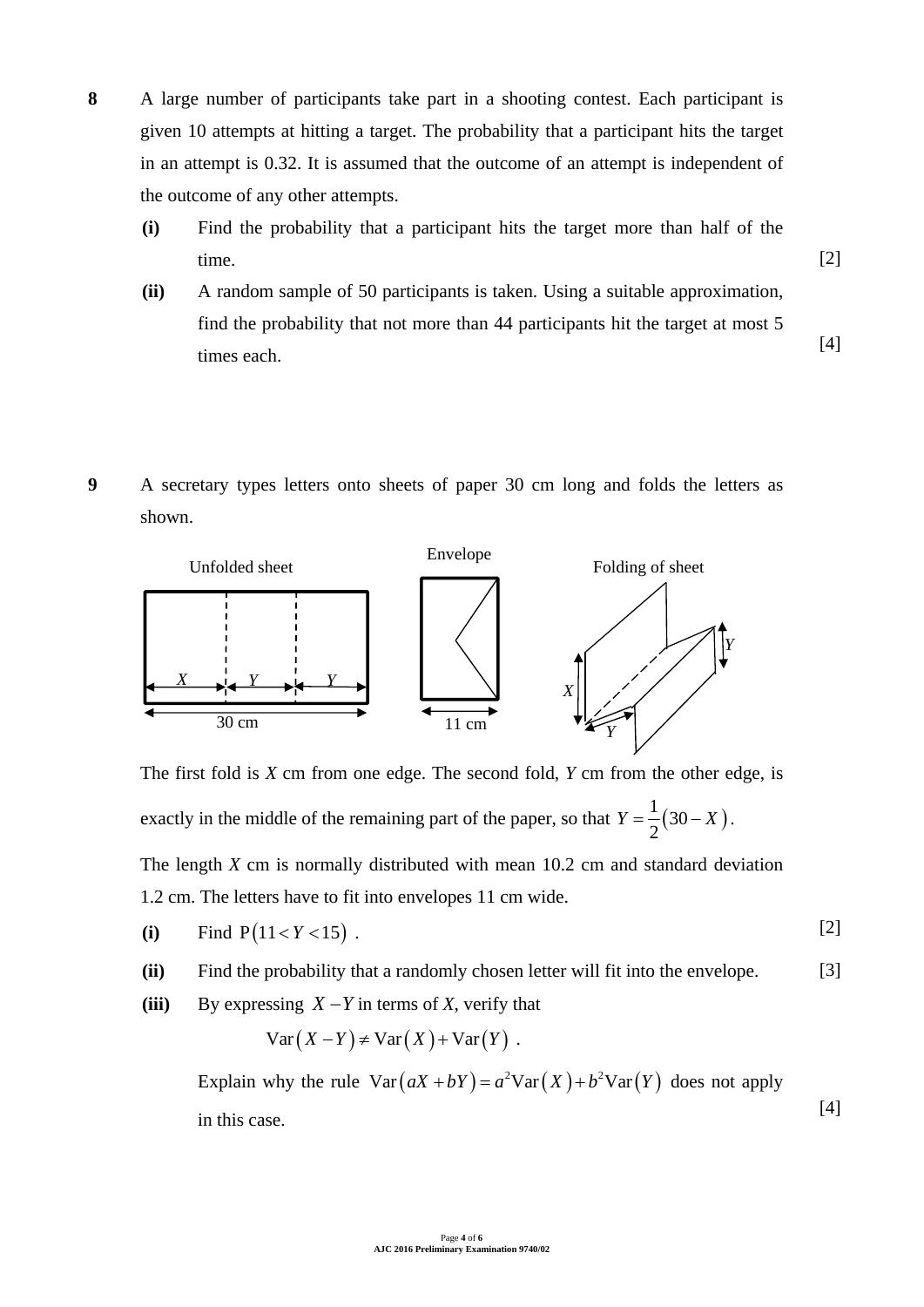- **8** A large number of participants take part in a shooting contest. Each participant is given 10 attempts at hitting a target. The probability that a participant hits the target in an attempt is 0.32. It is assumed that the outcome of an attempt is independent of the outcome of any other attempts.
	- **(i)** Find the probability that a participant hits the target more than half of the time.
	- **(ii)** A random sample of 50 participants is taken. Using a suitable approximation, find the probability that not more than 44 participants hit the target at most 5 times each. [4]

[2]

**9** A secretary types letters onto sheets of paper 30 cm long and folds the letters as shown.



The first fold is *X* cm from one edge. The second fold, *Y* cm from the other edge, is exactly in the middle of the remaining part of the paper, so that  $Y = \frac{1}{2}(30 - X)$ 2  $Y = \frac{1}{2}(30 - X)$ .

The length *X* cm is normally distributed with mean 10.2 cm and standard deviation 1.2 cm. The letters have to fit into envelopes 11 cm wide.

(i) Find 
$$
P(11 < Y < 15)
$$
. [2]

**(ii)** Find the probability that a randomly chosen letter will fit into the envelope. [3]

**(iii)** By expressing  $X - Y$  in terms of X, verify that

$$
Var(X - Y) \neq Var(X) + Var(Y).
$$

Explain why the rule  $Var(aX + bY) = a^2 Var(X) + b^2 Var(Y)$  does not apply in this case. [4]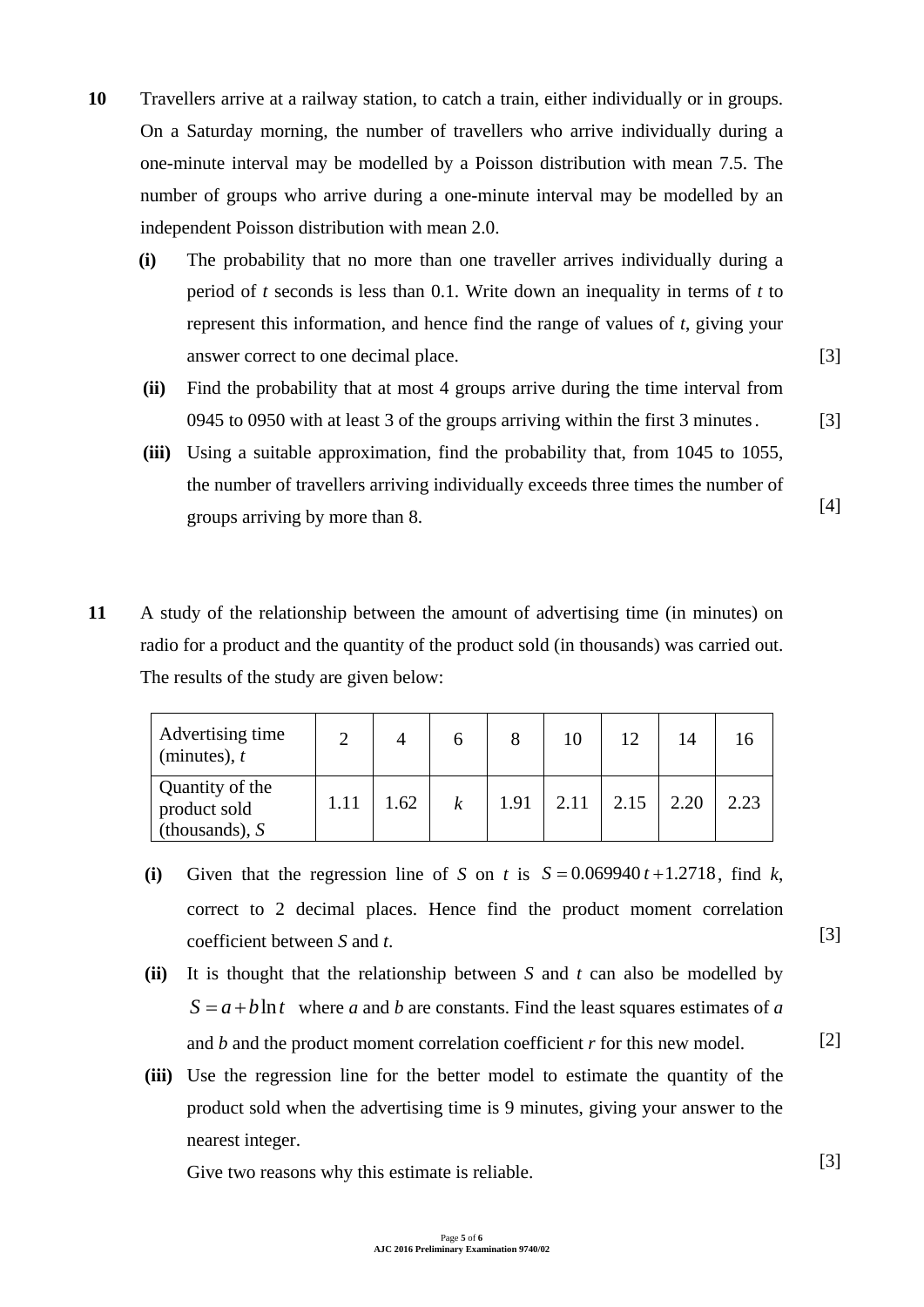- **10** Travellers arrive at a railway station, to catch a train, either individually or in groups. On a Saturday morning, the number of travellers who arrive individually during a one-minute interval may be modelled by a Poisson distribution with mean 7.5. The number of groups who arrive during a one-minute interval may be modelled by an independent Poisson distribution with mean 2.0.
	- **(i)** The probability that no more than one traveller arrives individually during a period of *t* seconds is less than 0.1. Write down an inequality in terms of *t* to represent this information, and hence find the range of values of *t*, giving your answer correct to one decimal place.
	- **(ii)** Find the probability that at most 4 groups arrive during the time interval from 0945 to 0950 with at least 3 of the groups arriving within the first 3 minutes .
	- **(iii)** Using a suitable approximation, find the probability that, from 1045 to 1055, the number of travellers arriving individually exceeds three times the number of groups arriving by more than 8. [4]
- **11** A study of the relationship between the amount of advertising time (in minutes) on radio for a product and the quantity of the product sold (in thousands) was carried out. The results of the study are given below:

| Advertising time<br>(minutes), $t$                  |      |                  |      | 10   |      |      |      |
|-----------------------------------------------------|------|------------------|------|------|------|------|------|
| Quantity of the<br>product sold<br>(thousands), $S$ | 1.62 | $\boldsymbol{k}$ | 1.91 | 2.11 | 2.15 | 2.20 | 2.23 |

- (i) Given that the regression line of *S* on *t* is  $S = 0.069940 t + 1.2718$ , find *k*, correct to 2 decimal places. Hence find the product moment correlation coefficient between *S* and *t*.
- **(ii)** It is thought that the relationship between *S* and *t* can also be modelled by  $S = a + b \ln t$  where *a* and *b* are constants. Find the least squares estimates of *a* and *b* and the product moment correlation coefficient *r* for this new model.
- **(iii)** Use the regression line for the better model to estimate the quantity of the product sold when the advertising time is 9 minutes, giving your answer to the nearest integer.

Give two reasons why this estimate is reliable.

[3]

[3]

[3]

[2]

[3]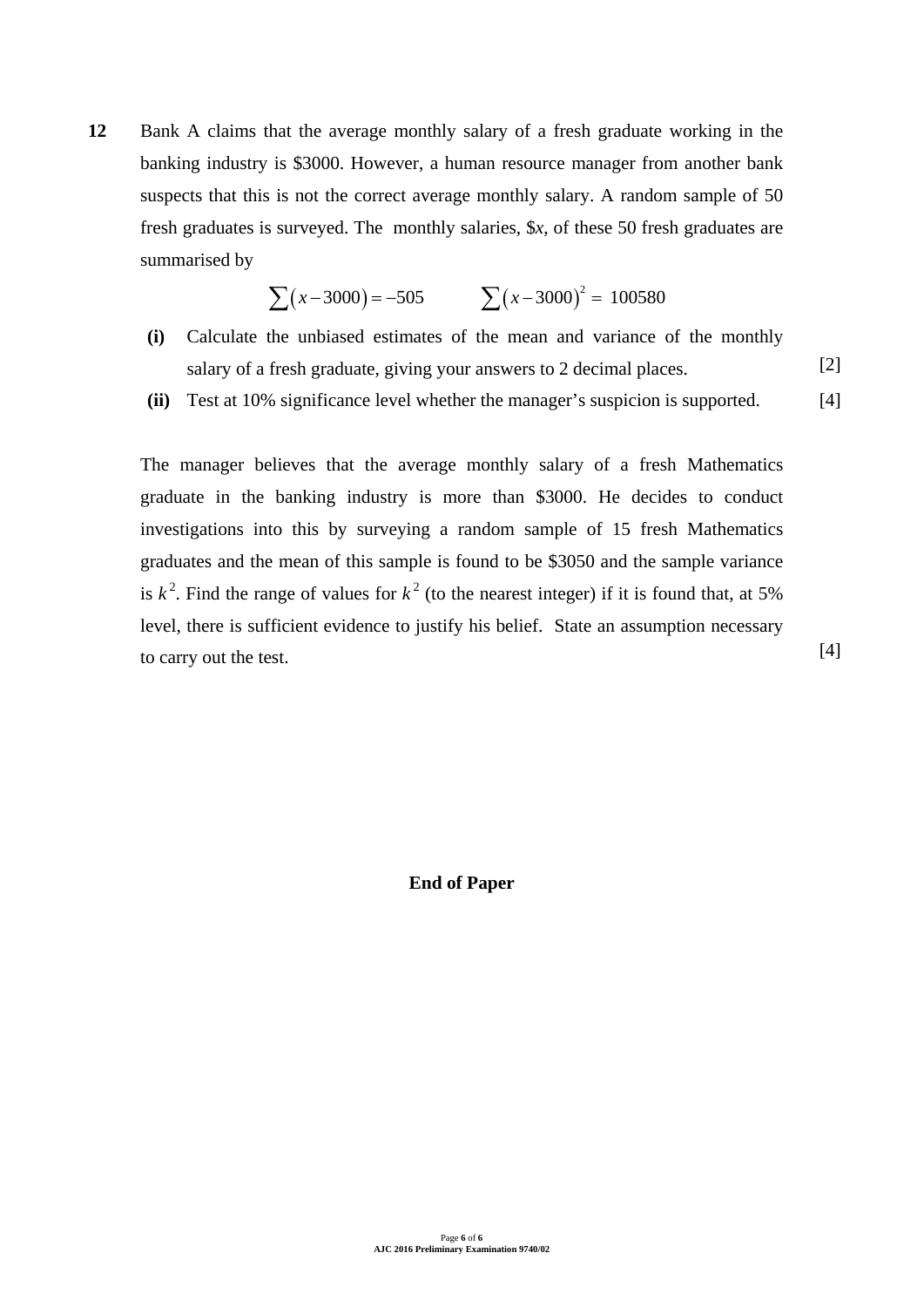**12** Bank A claims that the average monthly salary of a fresh graduate working in the banking industry is \$3000. However, a human resource manager from another bank suspects that this is not the correct average monthly salary. A random sample of 50 fresh graduates is surveyed. The monthly salaries, \$*x*, of these 50 fresh graduates are summarised by

$$
\sum (x-3000) = -505
$$
  $\sum (x-3000)^2 = 100580$ 

- **(i)** Calculate the unbiased estimates of the mean and variance of the monthly salary of a fresh graduate, giving your answers to 2 decimal places. [2]
- **(ii)** Test at 10% significance level whether the manager's suspicion is supported. [4]

The manager believes that the average monthly salary of a fresh Mathematics graduate in the banking industry is more than \$3000. He decides to conduct investigations into this by surveying a random sample of 15 fresh Mathematics graduates and the mean of this sample is found to be \$3050 and the sample variance is  $k^2$ . Find the range of values for  $k^2$  (to the nearest integer) if it is found that, at 5% level, there is sufficient evidence to justify his belief. State an assumption necessary to carry out the test.

[4]

#### **End of Paper**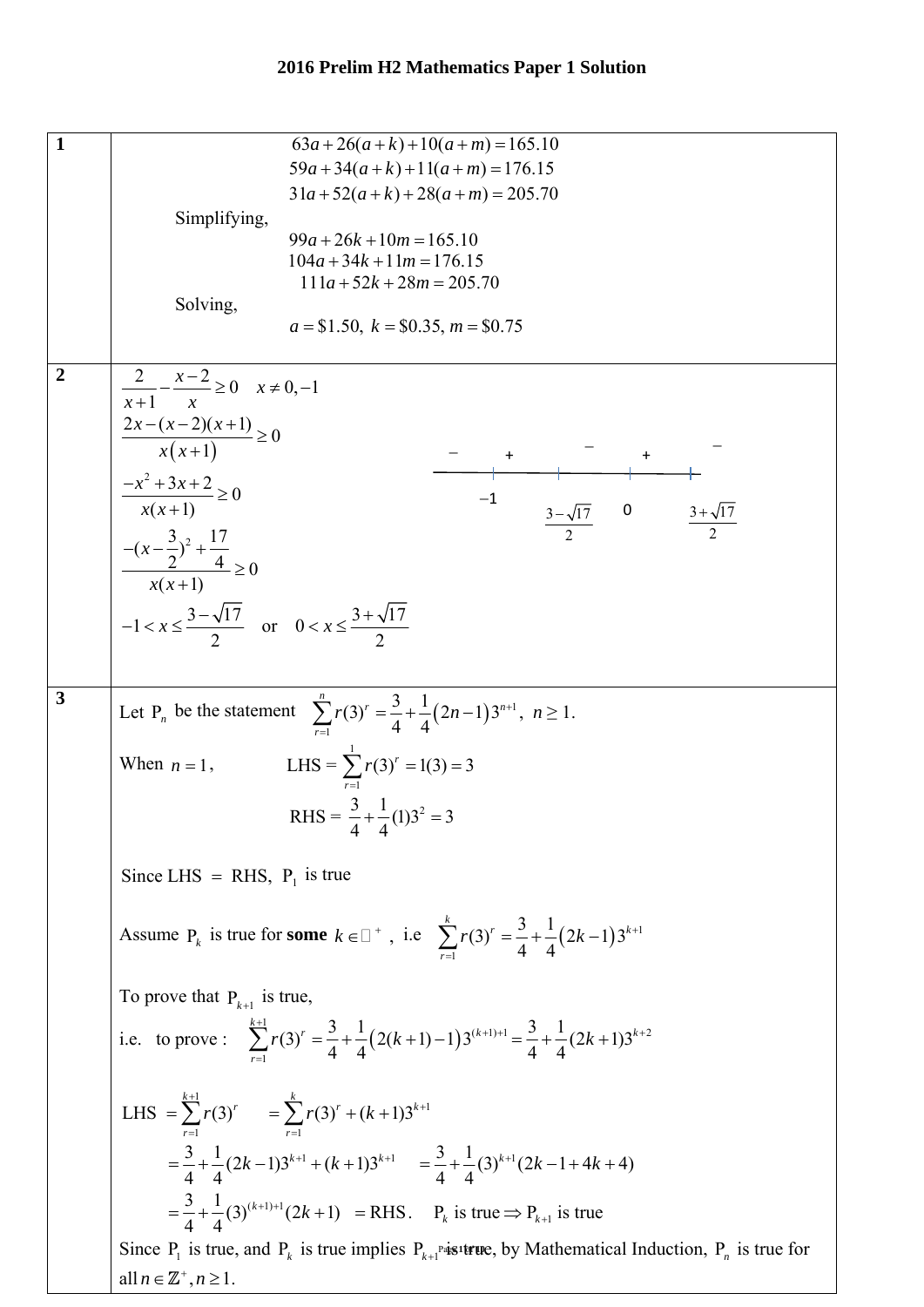| 1              | $63a+26(a+k)+10(a+m)=165.10$                                                                                                              |
|----------------|-------------------------------------------------------------------------------------------------------------------------------------------|
|                | $59a+34(a+k)+11(a+m)=176.15$                                                                                                              |
|                | $31a+52(a+k)+28(a+m) = 205.70$                                                                                                            |
|                | Simplifying,                                                                                                                              |
|                | $99a + 26k + 10m = 165.10$                                                                                                                |
|                | $104a + 34k + 11m = 176.15$                                                                                                               |
|                |                                                                                                                                           |
|                | $111a + 52k + 28m = 205.70$                                                                                                               |
|                | Solving,                                                                                                                                  |
|                | $a = $1.50, k = $0.35, m = $0.75$                                                                                                         |
|                |                                                                                                                                           |
| $\overline{2}$ |                                                                                                                                           |
|                | $\frac{2}{x+1} - \frac{x-2}{x} \ge 0$ $x \ne 0, -1$                                                                                       |
|                |                                                                                                                                           |
|                | $\frac{2x-(x-2)(x+1)}{x(x+1)} \ge 0$                                                                                                      |
|                |                                                                                                                                           |
|                |                                                                                                                                           |
|                | $\frac{-x^2+3x+2}{x(x+1)} \ge 0$<br>$-1$                                                                                                  |
|                | $\begin{array}{c ccccc}\n & & & & \\ \hline\n-3-\sqrt{17} & 0 & 3+\sqrt{17} \\ \hline\n-2 & 0 & 3+\sqrt{17}\n\end{array}$                 |
|                | $\frac{-{(x-\frac{3}{2})^2} + \frac{17}{4}}{x(x+1)} \ge 0$                                                                                |
|                |                                                                                                                                           |
|                |                                                                                                                                           |
|                |                                                                                                                                           |
|                | $-1 < x \leq \frac{3-\sqrt{17}}{2}$ or $0 < x \leq \frac{3+\sqrt{17}}{2}$                                                                 |
|                |                                                                                                                                           |
|                |                                                                                                                                           |
|                |                                                                                                                                           |
| $\mathbf{3}$   |                                                                                                                                           |
|                | Let P <sub>n</sub> be the statement $\sum_{1}^{n} r(3)^{r} = \frac{3}{4} + \frac{1}{4} (2n-1) 3^{n+1}, n \ge 1.$                          |
|                |                                                                                                                                           |
|                | When $n = 1$ , LHS = $\sum_{1}^{1} r(3)^{r} = 1(3) = 3$                                                                                   |
|                |                                                                                                                                           |
|                |                                                                                                                                           |
|                | RHS = $\frac{3}{4} + \frac{1}{4}(1)3^2 = 3$                                                                                               |
|                |                                                                                                                                           |
|                |                                                                                                                                           |
|                | Since LHS = RHS, $P_1$ is true                                                                                                            |
|                |                                                                                                                                           |
|                |                                                                                                                                           |
|                | Assume P <sub>k</sub> is true for some $k \in \square^+$ , i.e $\sum_{1}^{k} r(3)^r = \frac{3}{4} + \frac{1}{4} (2k - 1) 3^{k+1}$         |
|                |                                                                                                                                           |
|                |                                                                                                                                           |
|                | To prove that $P_{k+1}$ is true,                                                                                                          |
|                | i.e. to prove: $\sum_{k=1}^{k+1} r(3)^k = \frac{3}{4} + \frac{1}{4} (2(k+1)-1) 3^{(k+1)+1} = \frac{3}{4} + \frac{1}{4} (2k+1) 3^{k+2}$    |
|                |                                                                                                                                           |
|                |                                                                                                                                           |
|                |                                                                                                                                           |
|                | LHS = $\sum_{r=1}^{k+1} r(3)^r$ = $\sum_{r=1}^{k} r(3)^r + (k+1)3^{k+1}$                                                                  |
|                |                                                                                                                                           |
|                | $=\frac{3}{4}+\frac{1}{4}(2k-1)3^{k+1}+(k+1)3^{k+1} = \frac{3}{4}+\frac{1}{4}(3)^{k+1}(2k-1+4k+4)$                                        |
|                |                                                                                                                                           |
|                |                                                                                                                                           |
|                | $=\frac{3}{4}+\frac{1}{4}(3)^{(k+1)+1}(2k+1)$ = RHS. $P_k$ is true $\Rightarrow P_{k+1}$ is true                                          |
|                |                                                                                                                                           |
|                | Since $P_1$ is true, and $P_k$ is true implies $P_{k+1}$ <sup>Pa</sup> is <sup>1</sup> true, by Mathematical Induction, $P_n$ is true for |
|                | all $n \in \mathbb{Z}^+$ , $n \geq 1$ .                                                                                                   |
|                |                                                                                                                                           |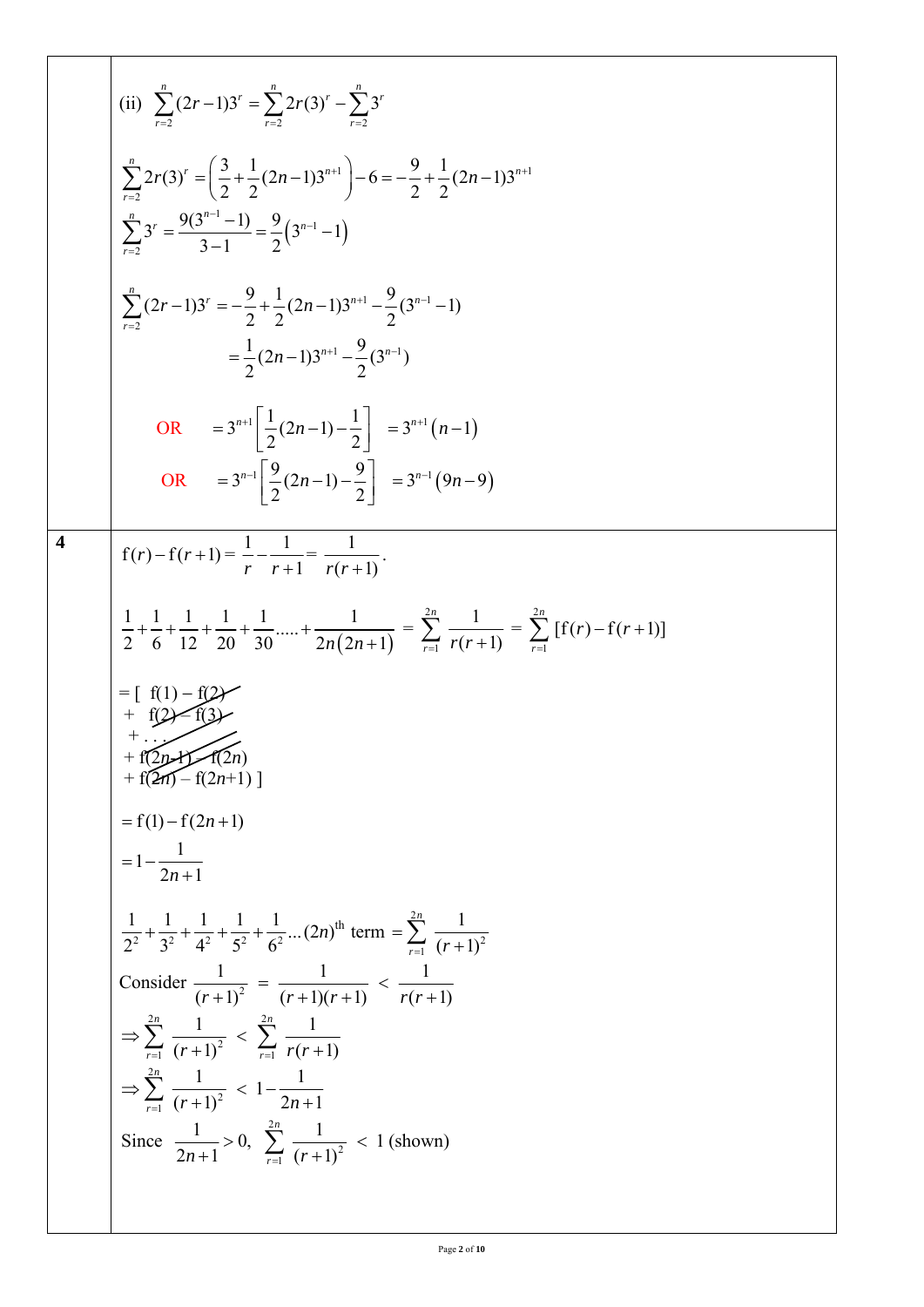(ii) 
$$
\sum_{r=2}^{n} (2r-1)3^{r} = \sum_{r=2}^{n} 2r(3)^{r} - \sum_{r=2}^{n} 3^{r}
$$
  
\n
$$
\sum_{r=2}^{n} 2r(3)^{r} = \left(\frac{3}{2} + \frac{1}{2}(2n-1)3^{n+1}\right) - 6 = \frac{9}{2} + \frac{1}{2}(2n-1)3^{n+1}
$$
  
\n
$$
\sum_{r=2}^{n} 3^{r} = \frac{9(3^{n-1}-1)}{3-1} = \frac{9}{2}(3^{n-1}-1)
$$
  
\n
$$
= \frac{1}{2}(2n-1)3^{n+1} - \frac{9}{2}(3^{n-1}-1)
$$
  
\n
$$
= \frac{1}{2}(2n-1)3^{n+1} - \frac{9}{2}(3^{n-1}-1)
$$
  
\nOR 
$$
= 3^{n+1} \left[\frac{1}{2}(2n-1) - \frac{1}{2}\right] = 3^{n+1}(n-1)
$$
  
\nOR 
$$
= 3^{n+1} \left[\frac{1}{2}(2n-1) - \frac{9}{2}\right] = 3^{n+1}(9n-9)
$$
  
\n4  
\n
$$
f(r) - f(r+1) = \frac{1}{r} - \frac{1}{r+1} = \frac{1}{r(r+1)}.
$$
  
\n
$$
\frac{1}{2} + \frac{1}{6} + \frac{1}{12} + \frac{1}{20} + \frac{1}{30} + \dots + \frac{1}{2n(2n+1)} = \sum_{r=1}^{2n} \frac{1}{r(r+1)} = \sum_{r=1}^{2n} [f(r) - f(r+1)]
$$
  
\n
$$
= [f(1) - f(2)r + f(2n)
$$
  
\n
$$
+ f(2n) - f(2n+1)
$$
  
\n
$$
= f(1) - f(2n+1)
$$
  
\n
$$
= 1 - \frac{1}{2n+1}
$$
  
\nConsider  $(r+1)^{2} = \frac{1}{(r+1)(r+1)} < \frac{1}{r(r+1)}.$   
\n
$$
\sum_{r=1}^{2n} \frac{1}{(r+1)^{2}}
$$

 $\overline{\mathsf{I}}$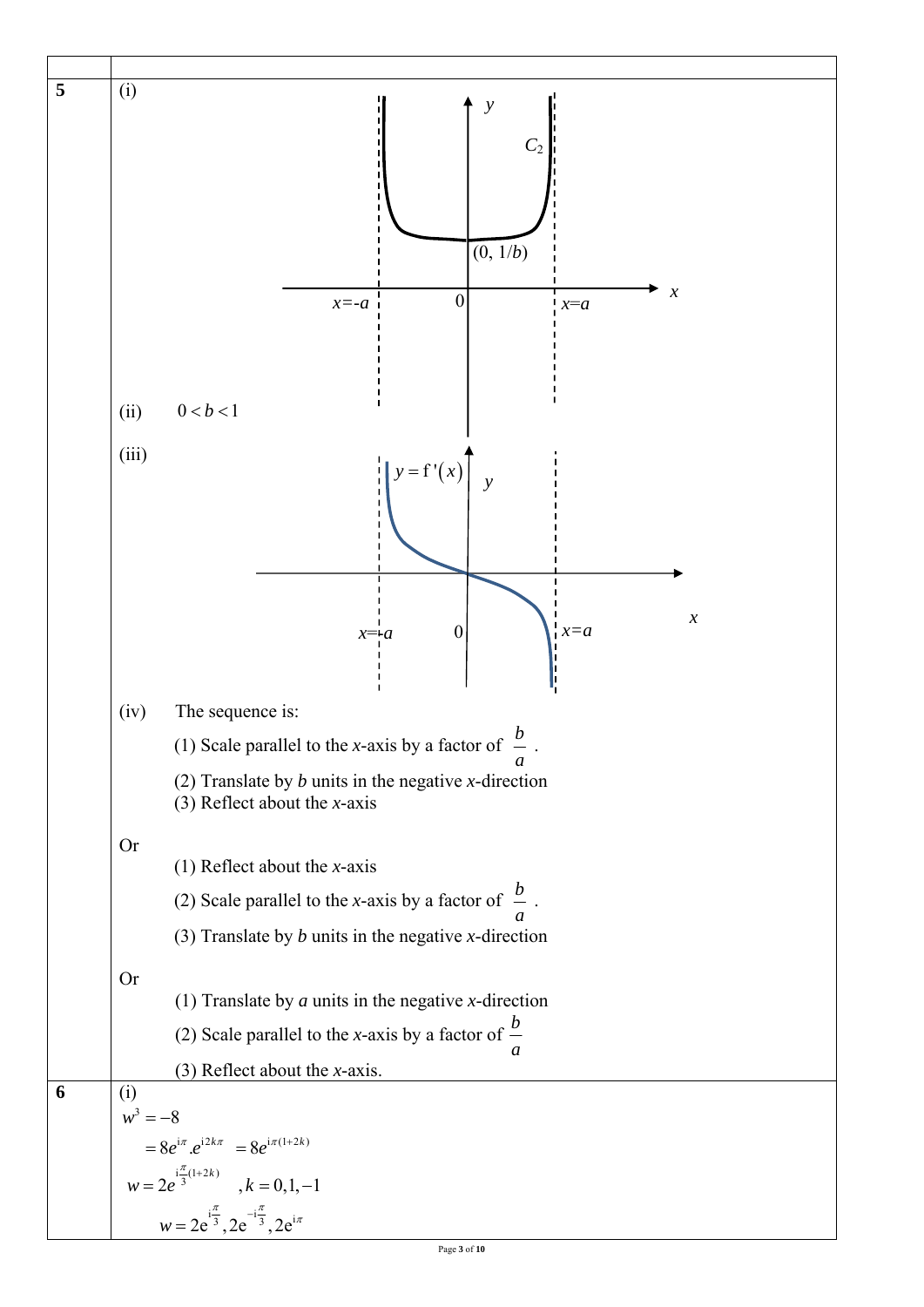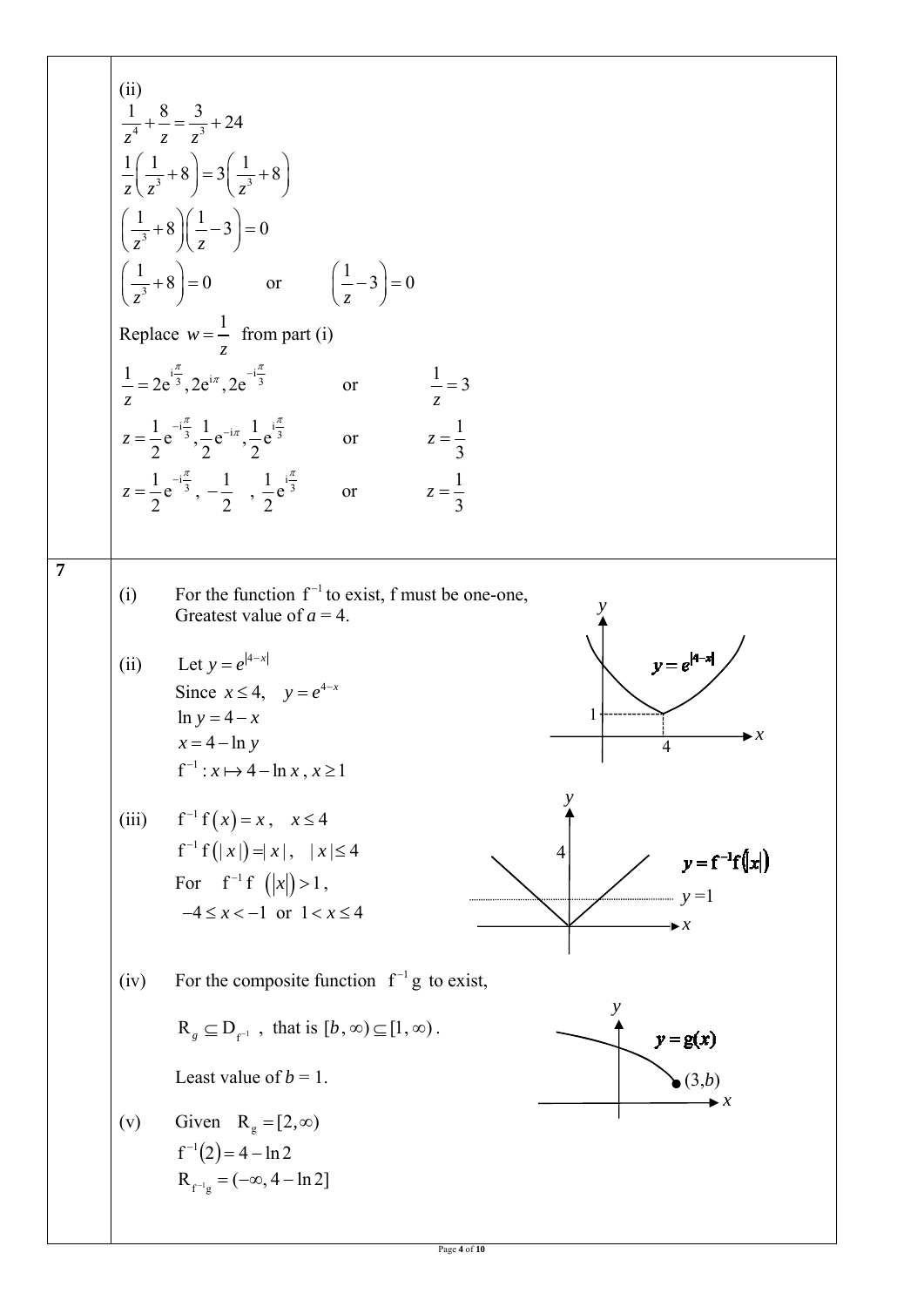(i)   
\n
$$
\frac{1}{z^2} + \frac{8}{z} = \frac{3}{z^3} + 24
$$
\n
$$
\frac{1}{z}(\frac{1}{z^3} + 8) = 3(\frac{1}{z^3} + 8)
$$
\n
$$
(\frac{1}{z^2} + 8)(\frac{1}{z} - 3) = 0
$$
\nReplace  $w = \frac{1}{z}$  from part (i)  
\n
$$
\frac{1}{z} = 2e^{\frac{z^2}{3}}.2e^{ix} .2e^{-\frac{z^2}{3}}
$$
 or 
$$
\frac{1}{z} = 3
$$
\n
$$
z = \frac{1}{2}e^{-\frac{z^2}{3}}.2e^{-\frac{1}{z}}.2e^{-\frac{1}{z}}.\frac{1}{2}e^{-\frac{1}{z^3}}
$$
 or 
$$
z = \frac{1}{3}
$$
\n
$$
z = \frac{1}{2}e^{-\frac{z^2}{3}}.2e^{-\frac{1}{z}}.2e^{-\frac{1}{z}}.\frac{1}{2}e^{-\frac{1}{z^3}}
$$
 or 
$$
z = \frac{1}{3}
$$
\n7\n(i) For the function f<sup>-1</sup> to exist, f must be one-one,  
\nGreatest value of a = 4.  
\n(ii) Let  $y = e^{4x-x}$   
\n
$$
\ln y = -4 - x
$$
  
\n
$$
x = 4 - \ln y
$$
  
\n
$$
x = 4 - \ln y
$$
  
\n
$$
x = 4 - \ln y
$$
  
\n
$$
x = 4 - \ln y
$$
  
\n
$$
x = 4 - \ln y
$$
  
\n
$$
x = 4 - \ln y
$$
  
\n
$$
x = 4 - \ln y
$$
  
\n
$$
x = 4 - \ln y
$$
  
\n
$$
x = 4 - \ln y
$$
  
\n
$$
x = 4 - \ln y
$$
  
\n
$$
x = 4 - \ln y
$$
  
\n
$$
x = 4 - \ln y
$$
  
\n
$$
x = 4 - \ln z
$$
  
\n
$$
x = 2, \infty
$$
  
\n
$$
x = 2, \infty
$$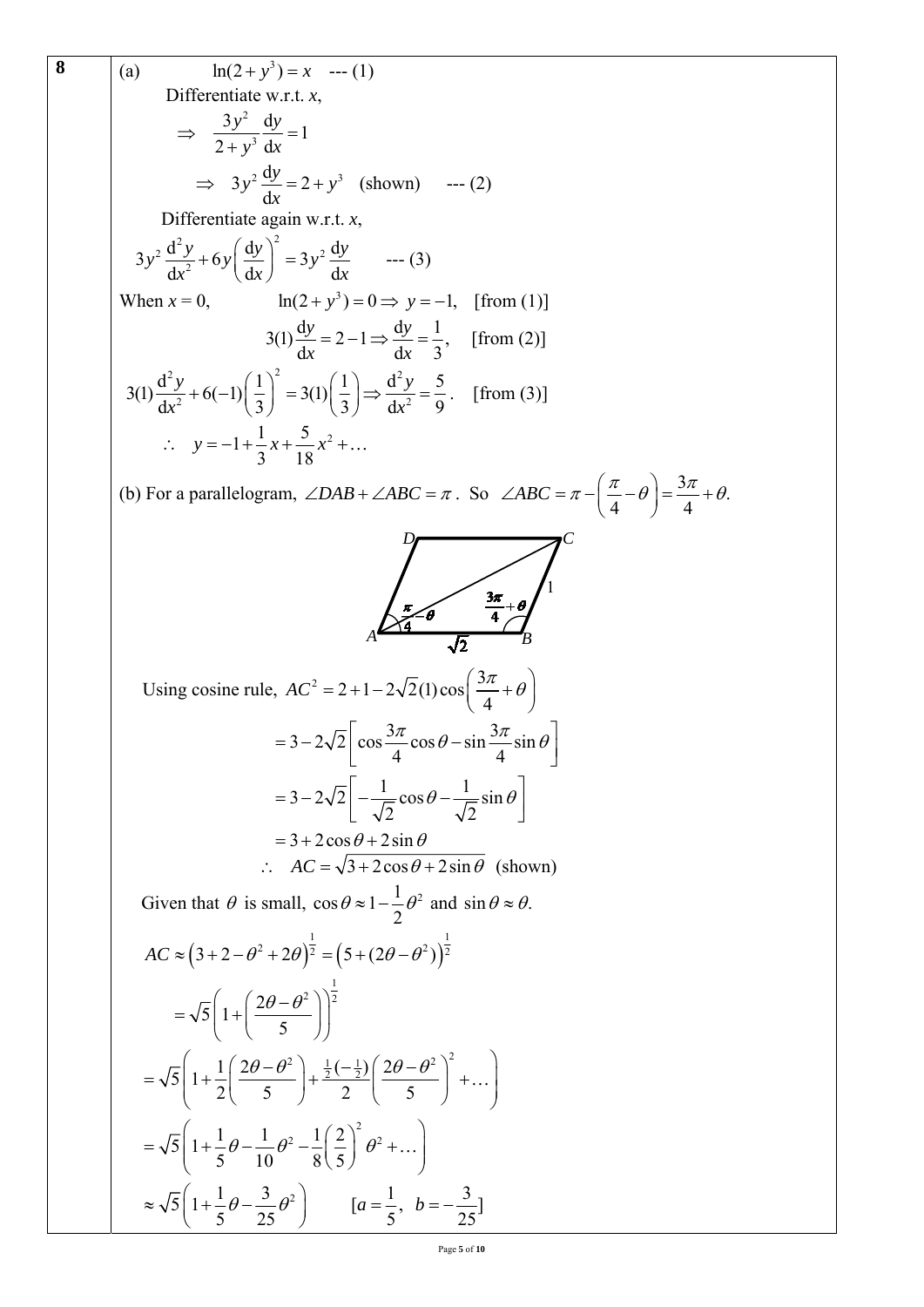8  
\n(a) 
$$
\ln(2+y^3) = x
$$
 ... (1)  
\nDifferentiate w.r.t. x,  
\n $\Rightarrow \frac{3y^2}{2+y^3} \frac{dy}{dx} = 1$   
\n $\Rightarrow 3y^2 \frac{dy}{dx} = 2 + y^3$  (shown) ... (2)  
\nDifferentiate again w.r.t. x,  
\n $3y^2 \frac{d^2y}{dx^2} + 6y \left(\frac{dy}{dx}\right)^2 = 3y^2 \frac{dy}{dx}$  ... (3)  
\nWhen  $x = 0$ ,  $\ln(2 + y^3) = 0 \Rightarrow y = -1$ , [from (1)]  
\n $3(1) \frac{dy}{dx} = 2 - 1 \Rightarrow \frac{dy}{dx} = \frac{1}{3}$ , [from (2)]  
\n $3(1) \frac{d^2y}{dx^2} + 6(-1) \left(\frac{1}{3}\right)^2 = 3(1) \left(\frac{1}{3}\right) \Rightarrow \frac{d^2y}{dx^2} = \frac{5}{9}$ . [from (3)]  
\n $\therefore y = -1 + \frac{1}{3}x + \frac{5}{18}x^2 + ...$   
\n(b) For a parallelogram,  $\angle DAB + \angle ABC = \pi$ . So  $\angle ABC = \pi - \left(\frac{\pi}{4} - \theta\right) = \frac{3\pi}{4} + \theta$ .  
\n $\therefore \int \frac{\pi}{4} \theta = \frac{3\pi}{4} \cos \theta - \sin \frac{3\pi}{4} \sin \theta$   
\n $= 3 - 2\sqrt{2} \left[\cos \frac{3\pi}{4} \cos \theta - \sin \frac{3\pi}{4} \sin \theta\right]$   
\n $= 3 - 2\sqrt{2} \left[-\frac{1}{\sqrt{2}} \cos \theta - \frac{1}{\sqrt{2}} \sin \theta\right]$   
\n $= 3 + 2\cos \theta + 2\sin \theta$  (shown)  
\nGiven that  $\theta$  is small,  $\cos \theta \approx 1 - \frac{1}{2} \theta^2$  and  $\sin \theta \approx \theta$ .  
\n $AC = (3 + 2 - \theta^2 + 2\theta)^{\frac{1}{2}} = (5 + (2\theta - \theta^2))^{\frac{1}{2}}$   
\n $= \sqrt{5} \$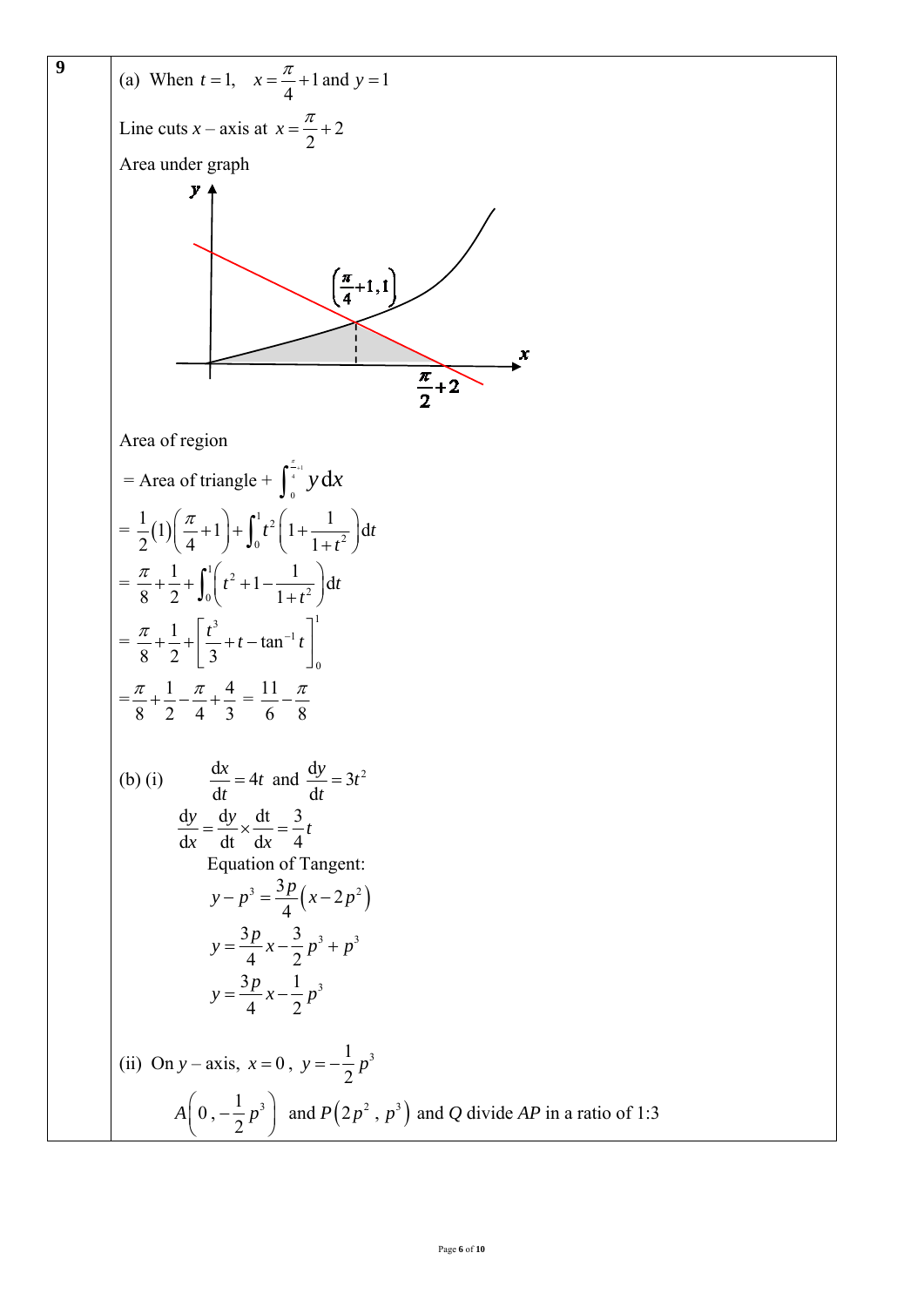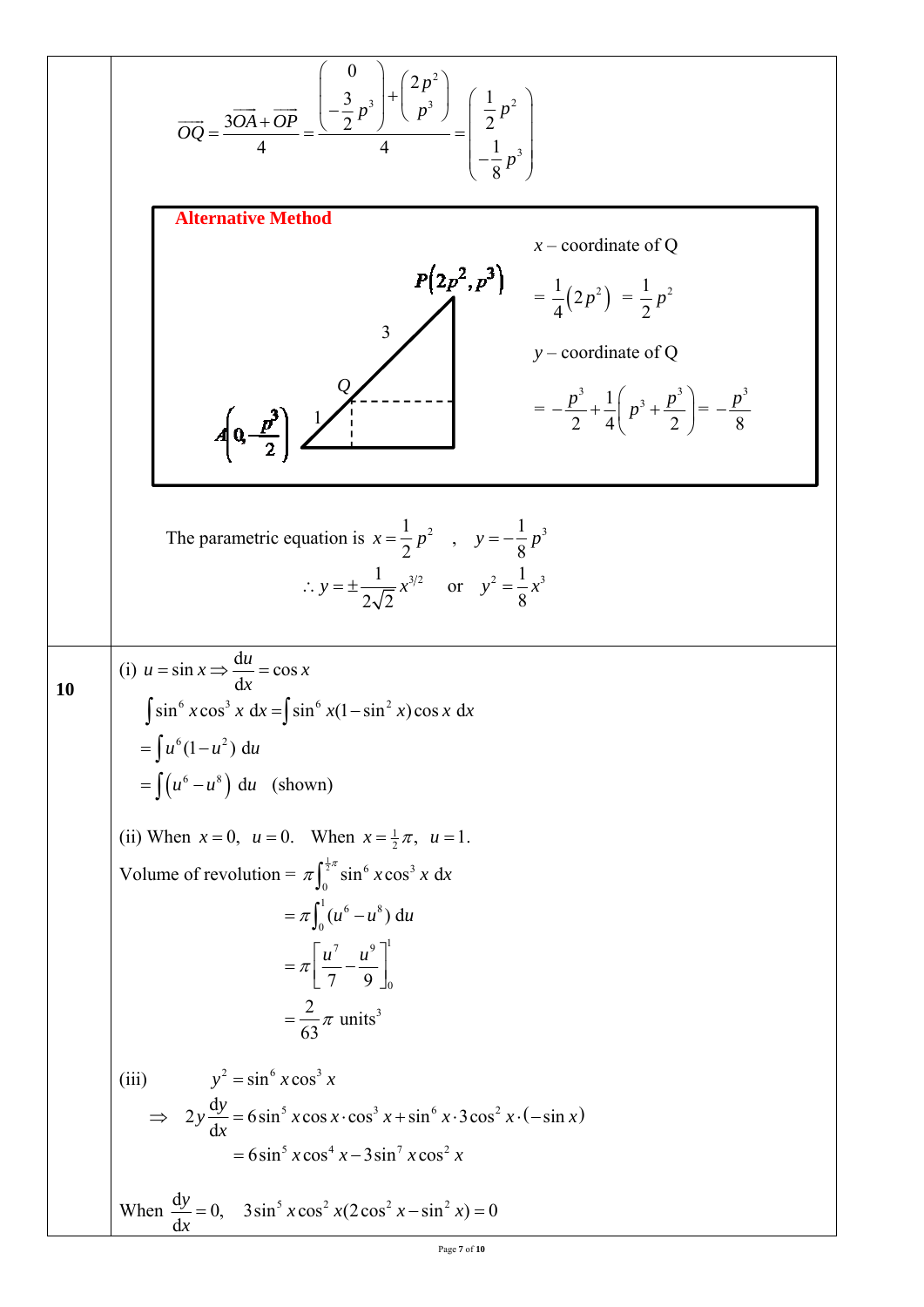$$
\overline{OQ} = \frac{3\overline{OA} + \overline{OP}}{4} = \frac{\left(\frac{3}{2}p^2\right)^2 + \left(\frac{2p^2}{p^3}\right)}{4} = \left(\frac{\frac{1}{2}p^2}{\frac{1}{8}p^3}\right)
$$
\n
$$
\overline{OQ} = \frac{3\overline{OA} + \overline{OP}}{4} = \frac{\left(\frac{1}{2}p^2\right)^2 + \left(\frac{1}{p^3}\right)^2}{4} = \frac{1}{4}(2p^2) = \frac{1}{2}p^2
$$
\n
$$
\overline{OQ} = \frac{1}{4}(2p^2) = \frac{1}{2}p^2
$$
\n
$$
\overline{OQ} = \frac{p^2}{2} + \frac{1}{4}\left(p^2 + \frac{p^2}{2}\right) = -\frac{p^2}{8}
$$
\nThe parametric equation is  $x = \frac{1}{2}p^2$ ,  $y = -\frac{1}{8}p^3$   
\n
$$
\therefore y = \pm \frac{1}{2\sqrt{2}}x^{3/2} \text{ or } y^2 = \frac{1}{8}x^3
$$
\n
$$
\therefore y = \pm \frac{1}{2\sqrt{2}}x^{3/2} \text{ or } y^2 = \frac{1}{8}x^3
$$
\n
$$
\overline{OQ} = \int u^6(1-u^2) du
$$
\n
$$
= \int (u^6 - u^2) du \text{ (shown)}
$$
\n(i) When  $x = 0$ ,  $u = 0$ . When  $x = \frac{1}{2}\pi$ ,  $u = 1$ .\n
$$
\text{Volume of revolution} = \pi \int_8^{1/8} \sin^6 x \cos^2 x \text{ dx}
$$
\n
$$
= \pi \int_6^{1/8} (u^6 - u^8) du
$$
\n
$$
= \pi \left[\frac{u^2}{9} - \frac{u^9}{9}\right]_0^{1/8}
$$
\n
$$
= \frac{2}{63} \pi \text{ units}^3
$$
\n(iii)  $y^2 = \sin^6 x \cos^4 x$  (soes  $x \cos^2 x + \sin^6 x \cdot 3 \cos^2 x \cdot (-\sin x)$ )  
\n<math display="block</math>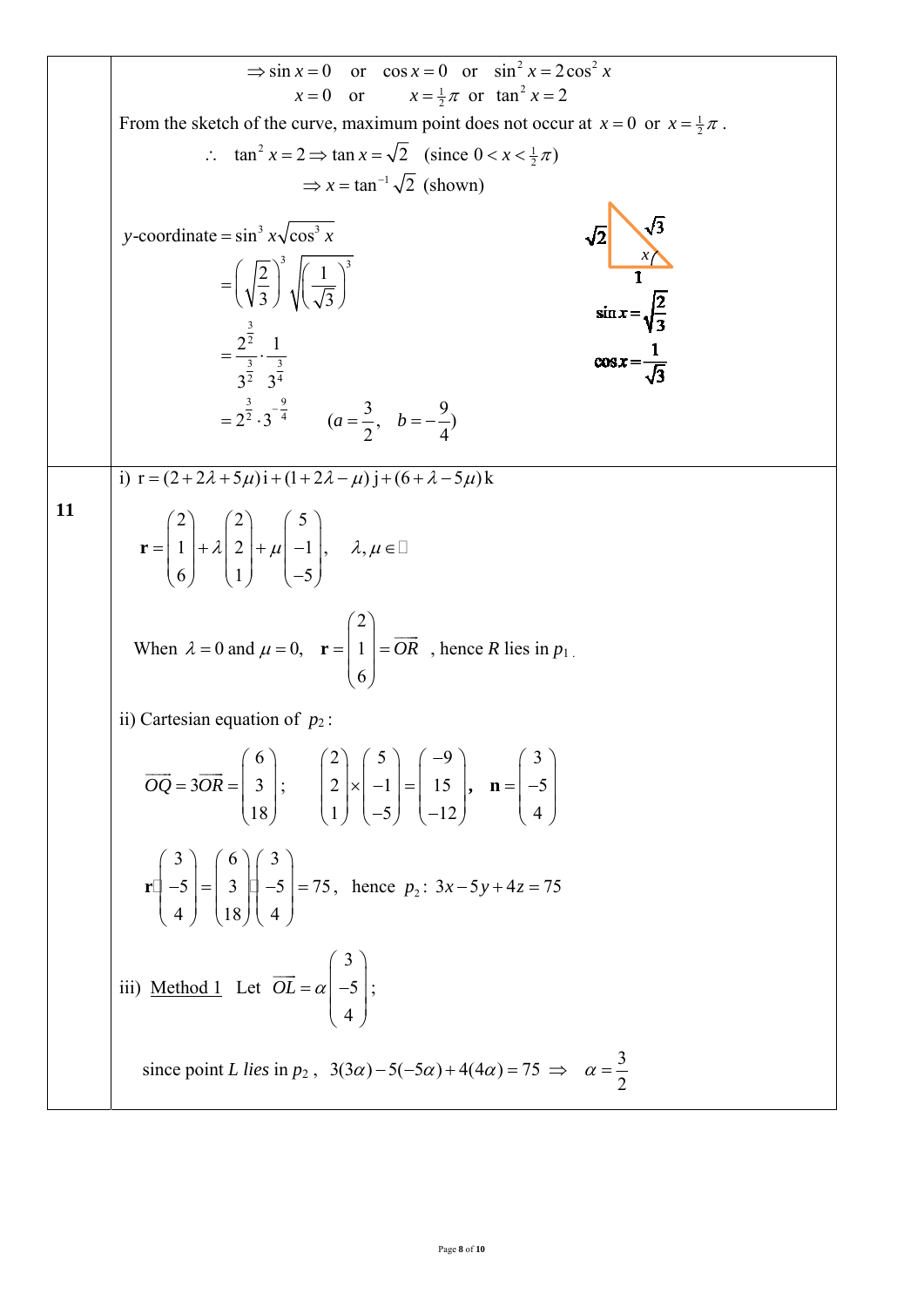$$
\Rightarrow \sin x = 0 \text{ or } \cos x = 0 \text{ or } \sin^2 x = 2 \cos^2 x
$$
  
\n $x = 0 \text{ or } x = \frac{1}{2} \pi \text{ or } \tan^2 x = 2$   
\nFrom the sketch of the curve, maximum point does not occur at  $x = 0$  or  $x = \frac{1}{2} \pi$ .  
\n $\therefore \tan^2 x = 2 \Rightarrow \tan x = \sqrt{2} \text{ (since } 0 < x < \frac{1}{2} \pi)$   
\n $\Rightarrow x = \tan^{-1} \sqrt{2} \text{ (shown)}$   
\n
$$
y\text{-coordinate} = \sin^3 x \sqrt{\cos^3 x}
$$
  
\n
$$
= \left(\sqrt{\frac{2}{3}}\right)^3 \sqrt{\left(\frac{1}{\sqrt{3}}\right)^3}
$$
  
\n
$$
= \frac{2^{\frac{3}{2}} \cdot 1^{\frac{1}{2}}}{3^{\frac{3}{2}} \cdot 3^{\frac{3}{4}}}
$$
  
\n
$$
= 2^{\frac{3}{2}} \cdot 3^{-\frac{3}{2}}
$$
  
\n
$$
(a = \frac{3}{2}, b = -\frac{9}{4})
$$
  
\n
$$
0 \text{ or } x = \frac{1}{\sqrt{3}}
$$
  
\n
$$
y = (2 + 2\lambda + 5\mu)i + (1 + 2\lambda - \mu)j + (6 + \lambda - 5\mu)k
$$
  
\n
$$
r = \begin{pmatrix} 2 \\ 1 \\ 6 \end{pmatrix} + \lambda \begin{pmatrix} 2 \\ 2 \\ 1 \end{pmatrix} + \mu \begin{pmatrix} 5 \\ -1 \\ -5 \end{pmatrix}
$$
  
\nWhen  $\lambda = 0$  and  $\mu = 0$ ,  $r = \begin{pmatrix} 2 \\ 1 \\ 6 \end{pmatrix} = \overline{OR}$ , hence R lies in  $p_1$ .  
\nii) Cartesian equation of  $p_2$ :  
\n
$$
\overline{OQ} = 3\overline{OR} = \begin{pmatrix} 6 \\ 3 \\ 18 \end{pmatrix}; \quad \begin{pmatrix} 2 \\ 2 \\ 1 \end{pmatrix} \begin{pmatrix} -9 \\ -1 \\ -5 \end{pmatrix}, \quad n = \begin{pmatrix} 3 \\ -5 \\
$$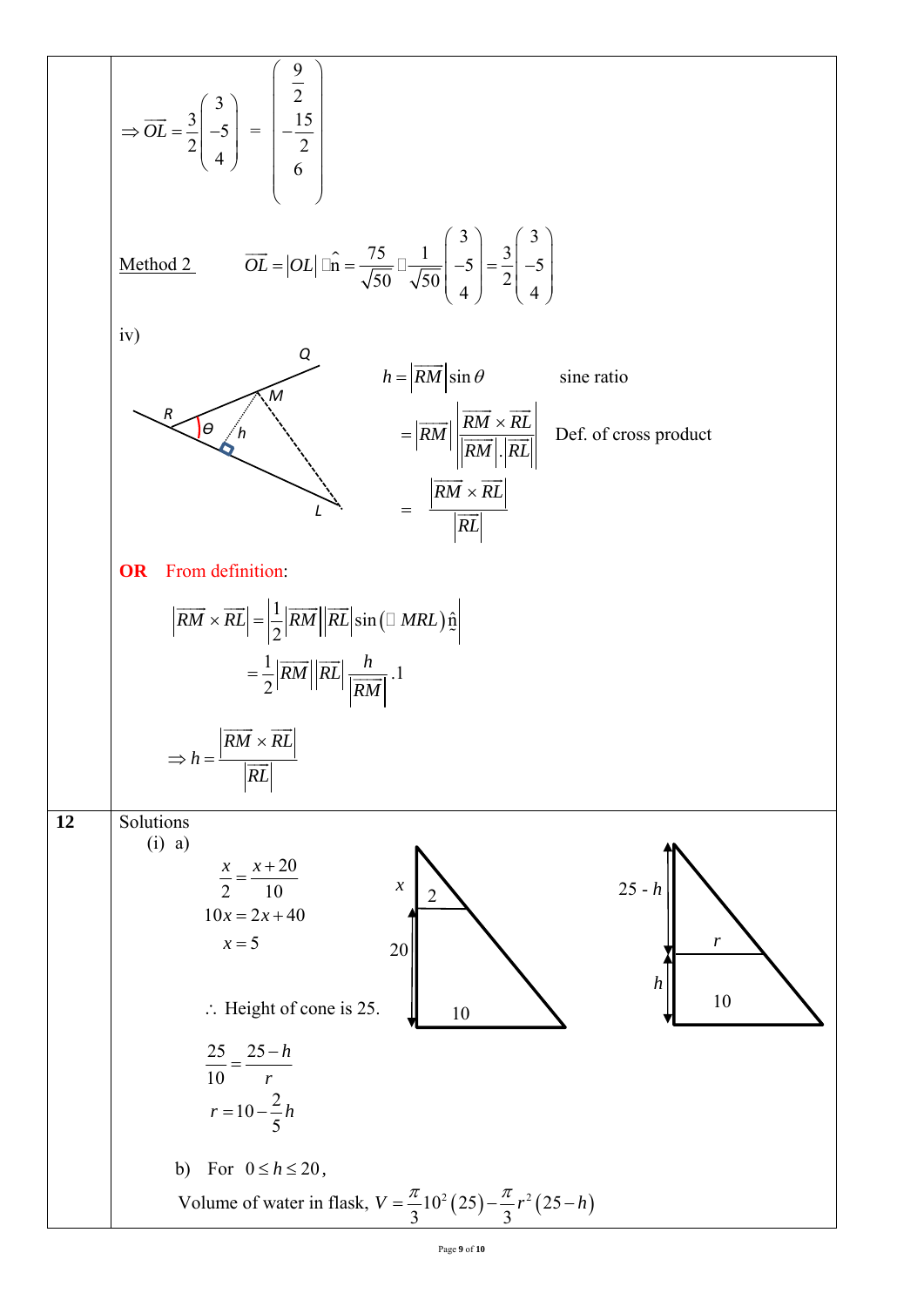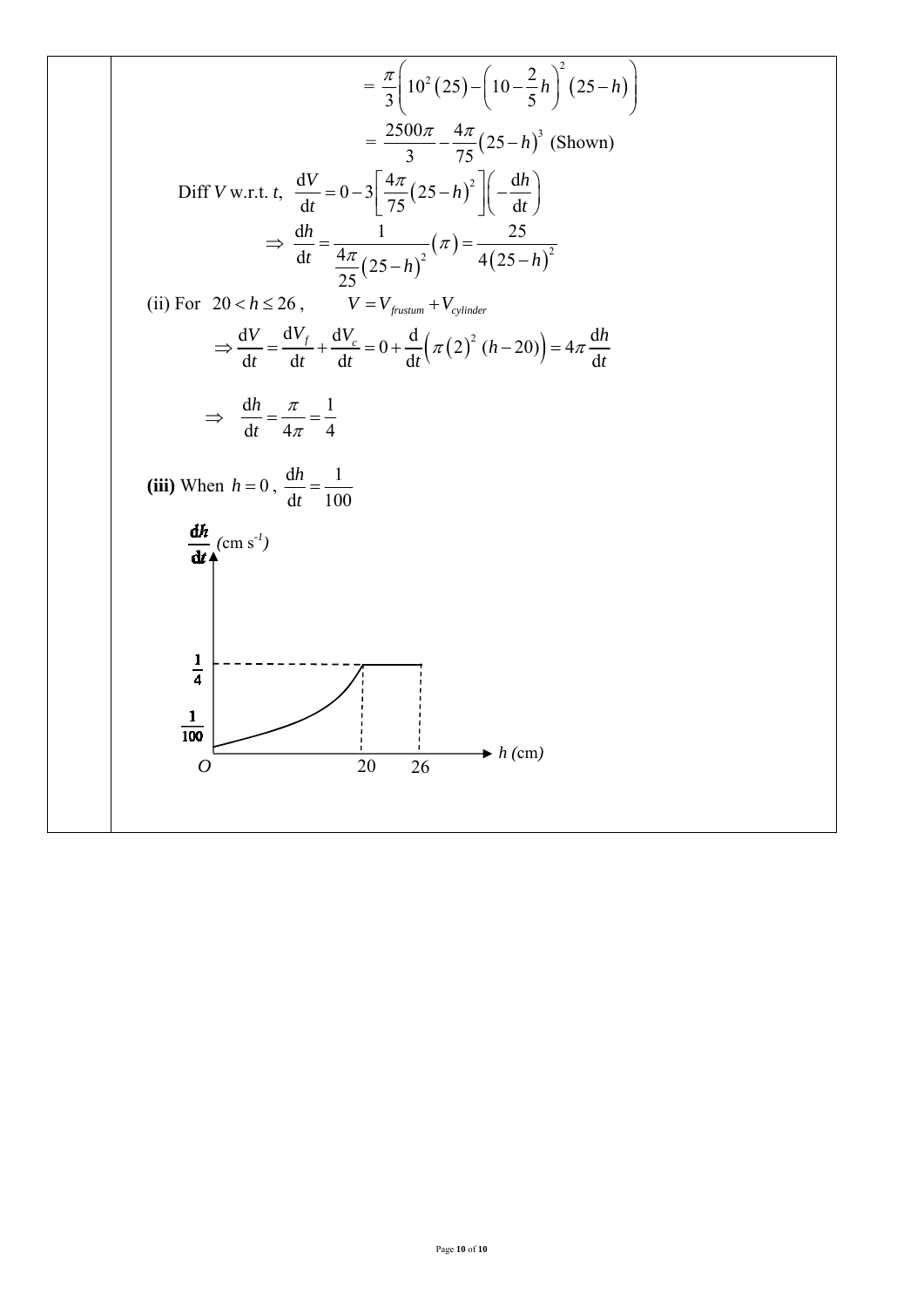$$
= \frac{\pi}{3} \left( 10^{2} (25) - \left( 10 - \frac{2}{5} h \right)^{2} (25 - h) \right)
$$
\n
$$
= \frac{2500\pi}{3} - \frac{4\pi}{75} (25 - h)^{3} \text{ (shown)}
$$
\nDiff V w.r.t.  $t$ ,  $\frac{dV}{dt} = 0 - 3 \left[ \frac{4\pi}{75} (25 - h)^{2} \right] \left( -\frac{dh}{dt} \right)$ 

\n
$$
\Rightarrow \frac{dh}{dt} = \frac{1}{\frac{4\pi}{25} (25 - h)^{2}} (\pi) = \frac{25}{4 (25 - h)^{2}}
$$
\n(ii) For  $20 < h \le 26$ ,  $V = V_{\text{parameter}}$  +  $V_{\text{cylinder}}$ 

\n
$$
\Rightarrow \frac{dV}{dt} = \frac{dV_{f}}{dt} + \frac{dV_{c}}{dt} = 0 + \frac{d}{dt} (\pi (2)^{2} (h - 20)) = 4\pi \frac{dh}{dt}
$$
\n
$$
\Rightarrow \frac{dh}{dt} = \frac{\pi}{4\pi} = \frac{1}{4}
$$
\n(iii) When  $h = 0$ ,  $\frac{dh}{dt} = \frac{1}{100}$ 

\n
$$
\frac{dh}{dt} (\cos s^{t})
$$
\n
$$
\frac{1}{100}
$$
\n
$$
\frac{dh}{100} (\cos t^{2})
$$
\n
$$
\frac{1}{200} \times \frac{1}{100} \times \frac{1}{100} \times \frac{1}{100} \times \frac{1}{100} \times \frac{1}{100} \times \frac{1}{100} \times \frac{1}{100} \times \frac{1}{100} \times \frac{1}{100} \times \frac{1}{100} \times \frac{1}{100} \times \frac{1}{100} \times \frac{1}{100} \times \frac{1}{100} \times \frac{1}{100} \times \frac{1}{100} \times \frac{1}{100} \times \frac{1}{100} \times \frac{1}{100} \times \frac{1}{100} \times \frac{1}{100} \times \frac{1}{10
$$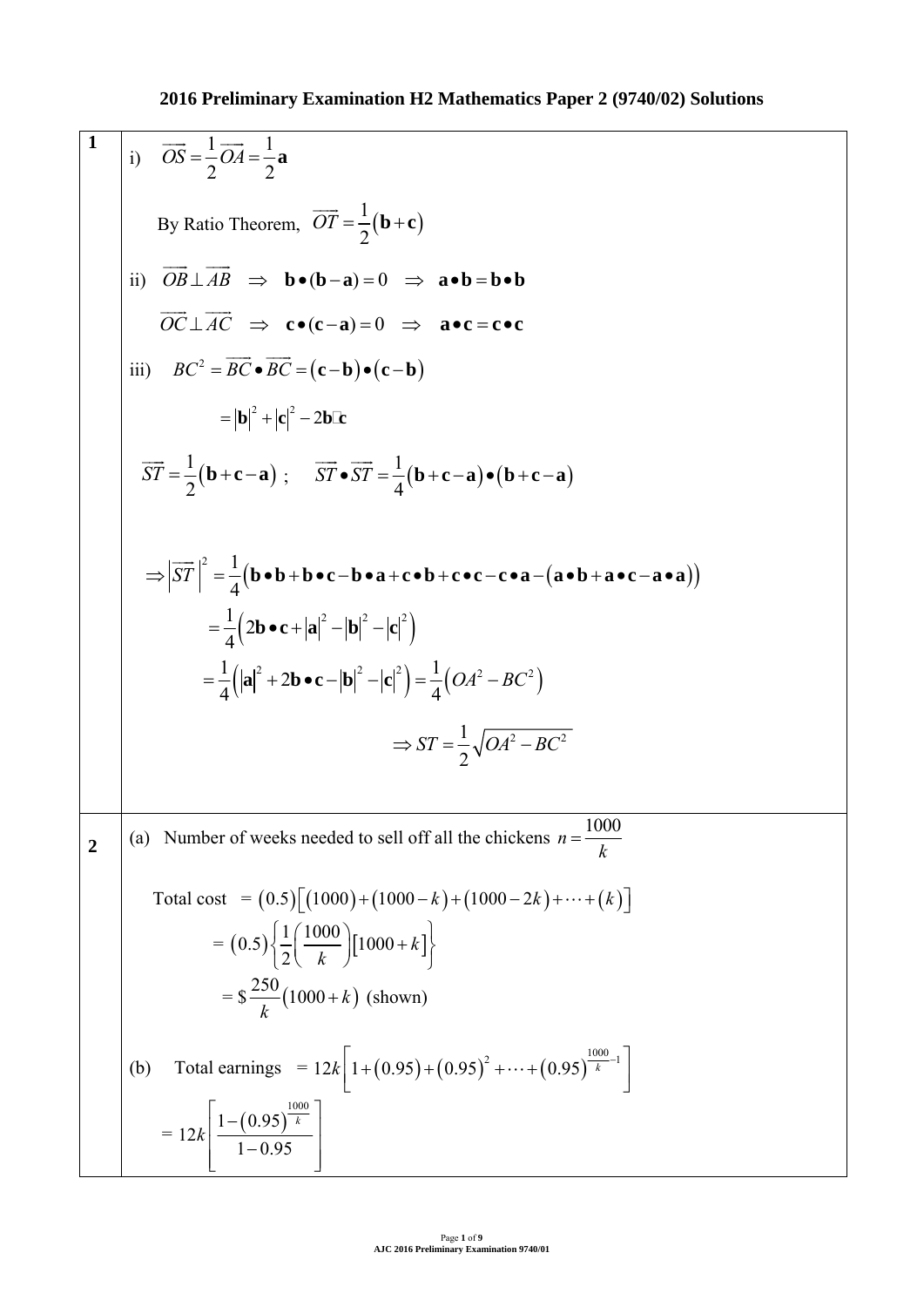**1**  *OS OA* **<sup>a</sup>** 1 1 i) 2 2 By Ratio Theorem, <sup>1</sup> *OT* **b c** 2 ii) *OB AB* **b ba** ( )0 **ab bb** *OC AC* **c ca** ( )0 **ac cc** iii) <sup>2</sup> *BC BC BC* **cb cb** 2 2 **b c bc** 2 *ST* **bca** ; <sup>1</sup> <sup>1</sup> *ST ST* **bca bca** 2 4 1 2 *ST* **bb bc ba cb cc ca ab ac aa** 4 1 2 2 22 **bc a b c** 4 1 1 <sup>2</sup> 2 22 2 2 **a bc b c** *OA BC* 4 4 1 2 2 *ST OA BC* 2 **2** (a) Number of weeks needed to sell off all the chickens <sup>1000</sup> *n <sup>k</sup>* Total cost = 0.5 1000 1000 1000 2 *k kk* <sup>=</sup> 1 1000 0.5 1000 *k* 2 *k* = \$ <sup>250</sup> <sup>1000</sup> *<sup>k</sup>* (shown) *k* <sup>1000</sup> 2 1 12 1 0.95 0.95 0.95 *<sup>k</sup> <sup>k</sup>* (b) Total earnings = 1000 1 0.95 <sup>=</sup> *k* 12 *k* 1 0.95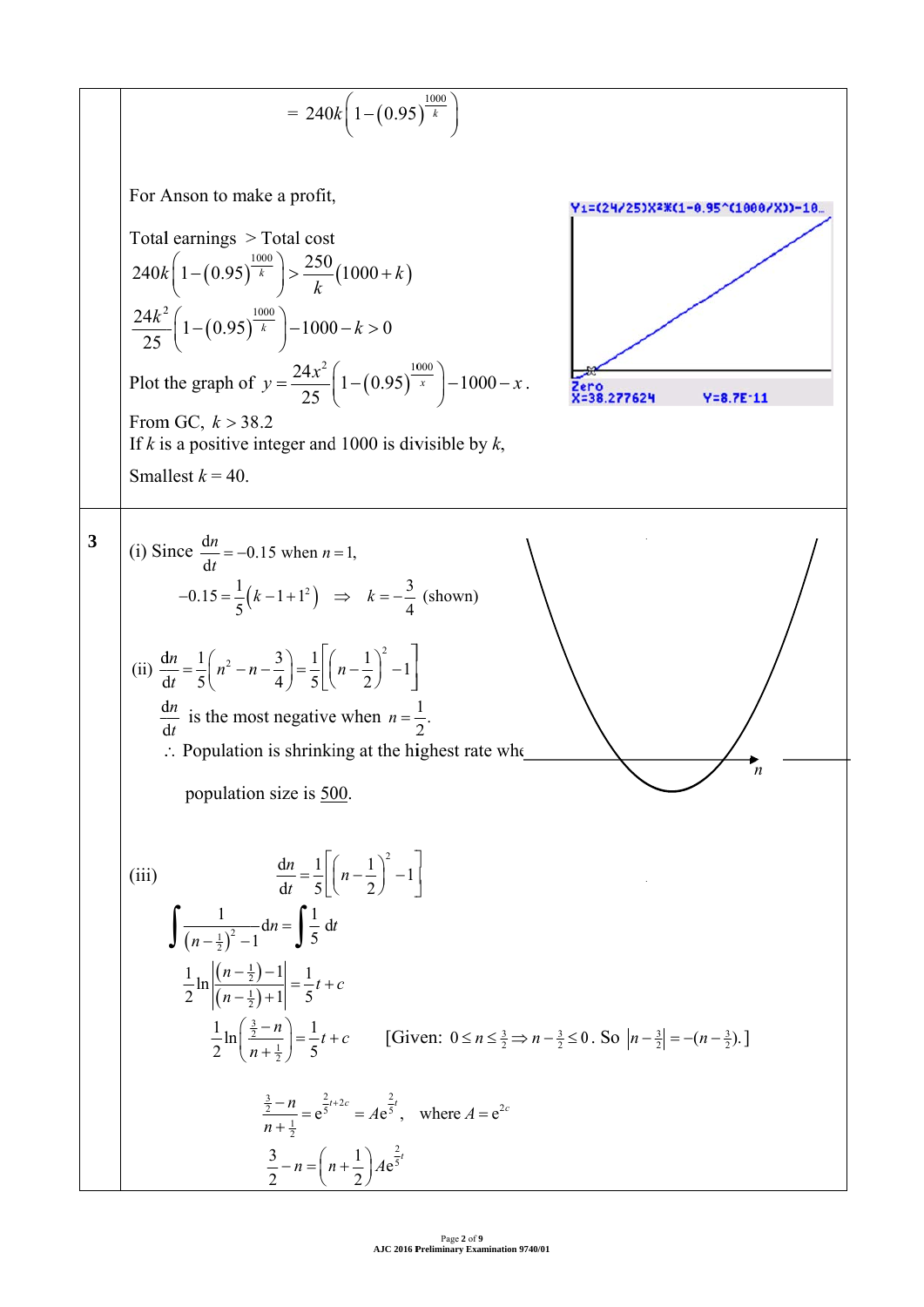$$
= 240k\left(1 - (0.95)^{\frac{1000}{k}}\right)
$$
  
For Anson to make a profit,  
Total earnings > Total cost  

$$
240k\left(1 - (0.95)^{\frac{1000}{k}}\right) > \frac{250}{k}(1000 + k)
$$

$$
\frac{24k^2}{25}\left(1 - (0.95)^{\frac{1000}{k}}\right) - 1000 - k > 0
$$
Plot the graph of  $y = \frac{24x^3}{25}\left(1 - (0.95)^{\frac{1000}{k}}\right) - 1000 - x$ .  
From GC,  $k > 38.2$   
If *k* is a positive integer and 1000 is divisible by *k*,  
Smallest  $k = 40$ .  
  
3 (i) Since  $\frac{d\pi}{dt} = -0.15$  when  $n = 1$ ,  
 $-0.15 = \frac{1}{5}(k - 1 + 1^2) \Rightarrow k = -\frac{3}{4}$  (shown)  
(ii)  $\frac{d\pi}{dt} = \frac{1}{5}\left((n^2 - n - \frac{3}{4}) = \frac{1}{5}\left[(n - \frac{1}{2})^2 - 1\right]$   
 $\frac{d\mu}{dt}$  is the most negative when  $n = \frac{1}{2}$ .  
Population size is 500.  
  
(iii)  $\frac{d\pi}{dt} = \frac{1}{5}\left[(n - \frac{1}{2})^2 - 1\right]$   
 $\int \frac{1}{(n - \frac{1}{2}) - 1} d\mu = \int \frac{1}{5} d\mu$   
 $\frac{1}{2} \ln\left(\frac{(n - \frac{1}{2}) + 1}{n + \frac{1}{2}}\right) = \frac{1}{5}l + c$  [Given:  $0 \le n \le \frac{1}{2} \Rightarrow n - \frac{1}{2} \le 0$ . So  $|n - \frac{3}{2}| = -(n - \frac{3}{2})$ .]  
 $\frac{\frac{1}{2} - n}{n + \frac{1}{2}} = e^{\frac{2}{3} + 2c} = Ae^{\frac{2}{3}}$ , where  $A = e^{2c}$   
 $\frac{3}{2} - n = (n + \frac{1}{2$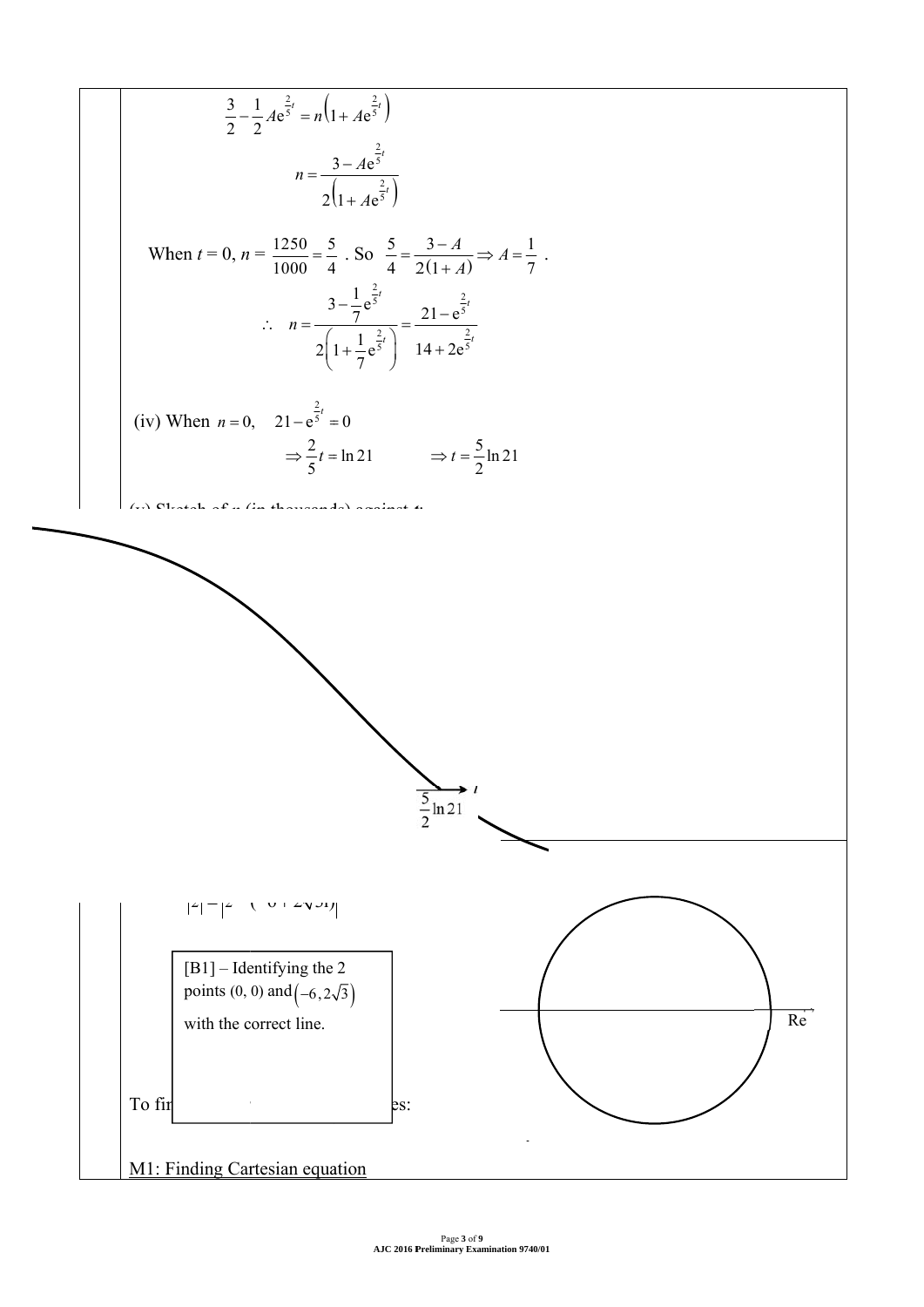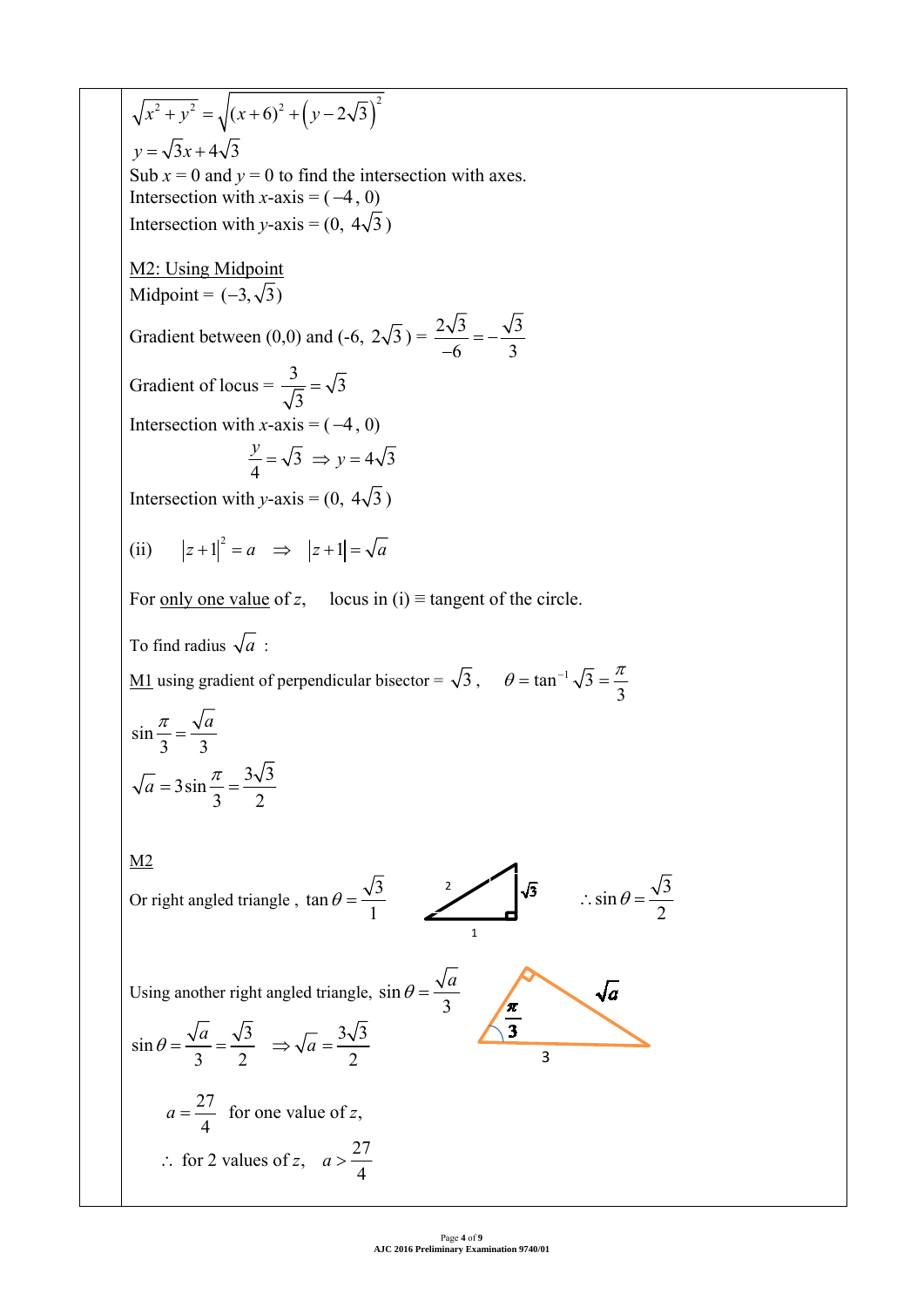$\overline{x^2 + y^2} = \sqrt{(x+6)^2 + (y-2\sqrt{3})^2}$  $y = \sqrt{3}x + 4\sqrt{3}$ Sub  $x = 0$  and  $y = 0$  to find the intersection with axes. Intersection with  $x$ -axis =  $(-4, 0)$ Intersection with *y*-axis =  $(0, 4\sqrt{3})$ M2: Using Midpoint Midpoint =  $(-3, \sqrt{3})$ Gradient between (0,0) and (-6,  $2\sqrt{3}$ ) =  $\frac{2\sqrt{3}}{-6}$  =  $-\frac{\sqrt{3}}{3}$ Gradient of locus =  $\frac{3}{\sqrt{2}} = \sqrt{3}$  $=$ 3 Intersection with  $x$ -axis =  $(-4, 0)$  $\frac{y}{4} = \sqrt{3} \Rightarrow y =$  $\frac{y}{1} = \sqrt{3} \Rightarrow y = 4\sqrt{3}$ 4 Intersection with *y*-axis =  $(0, 4\sqrt{3})$ (ii)  $|z+1|^2 = a \implies |z+1| = \sqrt{a}$ For <u>only one value</u> of *z*, locus in (i)  $\equiv$  tangent of the circle. To find radius  $\sqrt{a}$ :  $\theta = \tan^{-1} \sqrt{3} = \frac{\pi}{2}$ <u>M1</u> using gradient of perpendicular bisector =  $\sqrt{3}$ ,  $\theta = \tan^{-1} \sqrt{3}$ 3  $rac{\pi}{a} = \frac{\sqrt{a}}{a}$ sin 3 3  $3 \sin \frac{\pi}{2} = \frac{3\sqrt{3}}{2}$  $\frac{\pi}{a}$  = 3 sin  $\frac{\pi}{a}$  = 3 2 M2  $\sqrt{3}$  $\theta = \frac{\sqrt{3}}{2}$   $\sqrt{3}$   $\therefore \sin \theta = \frac{\sqrt{3}}{2}$ Or right angled triangle,  $\tan \theta = \frac{\sqrt{3}}{4}$  $\therefore \sin \theta = \frac{\sqrt{3}}{2}$ 1 2 1  $\frac{\sqrt{\pi}}{3}$  $\theta = \frac{\sqrt{a}}{a}$  $\sqrt{a}$ Using another right angled triangle, sin 3  $\sin \theta = \frac{\sqrt{a}}{2} = \frac{\sqrt{3}}{2} \Rightarrow \sqrt{a} = \frac{3\sqrt{3}}{2}$  $\theta = \frac{\sqrt{a}}{2} = \frac{\sqrt{3}}{2} \Rightarrow \sqrt{a} =$ 332 2  $a = \frac{27}{4}$  for one value of z,  $\therefore$  for 2 values of z,  $a > \frac{27}{4}$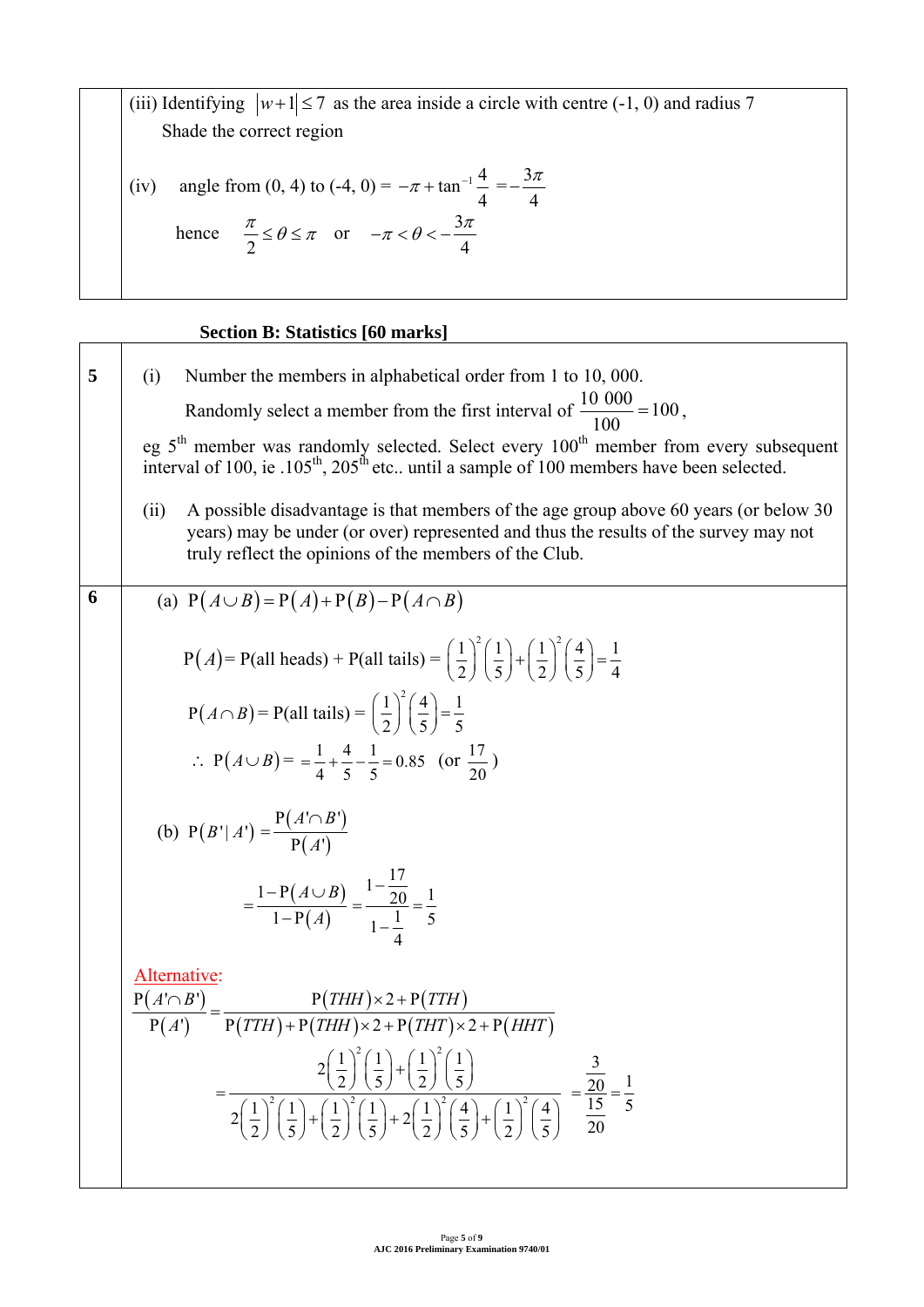(iii) Identifying  $|w+1| \le 7$  as the area inside a circle with centre (-1, 0) and radius 7 Shade the correct region

(iv) angle from (0, 4) to (-4, 0) = 
$$
-\pi + \tan^{-1} \frac{4}{4} = -\frac{3\pi}{4}
$$
  
hence  $\frac{\pi}{2} \le \theta \le \pi$  or  $-\pi < \theta < -\frac{3\pi}{4}$ 

# **Section B: Statistics [60 marks]**

5 (i) Number the members in alphabetical order from 1 to 10,000.  
\nRandomly select a member from the first interval of 
$$
\frac{10\,000}{100} = 100
$$
,  
\neg 5<sup>th</sup> member was randomly selected. Select every 100<sup>th</sup> member from every subsequent  
\ninterval of 100, i.e. 105<sup>th</sup>, 205<sup>th</sup> etc. until a sample of 100 members have been selected.  
\n(ii) A possible disadvantage is that members of the age group above 60 years (or below 30 years) may be under (or over) represented and thus the results of the survey may not  
\ntruly reflect the options of the members of the Club.  
\n(a) P(A∪B) = P(A)+P(B)-P(A∩B)  
\nP(A) = P(all heads) + P(all tails) =  $(\frac{1}{2})^2(\frac{1}{5})+(\frac{1}{2})^2(\frac{4}{5})=\frac{1}{4}$   
\nP(A∩B) = P(all tails) =  $(\frac{1}{2})^2(\frac{4}{5})=\frac{1}{5}$   
\n∴ P(A∪B) =  $=\frac{1}{4}+\frac{4}{5}-\frac{1}{5}=0.85$  (or  $\frac{17}{20}$ )  
\n(b) P(B'|A') =  $\frac{P(A' \cap B')}{P(A')}$   
\n $= \frac{1-P(A∪B)}{1-P(A)} = \frac{1-\frac{17}{20}}{1-\frac{1}{4}} = \frac{1}{5}$   
\nAlternatively:  
\nP(A'∩B') = P(THH)×2+P(THH)  
\n $= \frac{2(1)^2(1)^2(1)}{2(2)^2(5)^2(5)^2(5)^2(2)} = \frac{3}{20} = \frac{1}{5}$   
\n $= \frac{2(1)^2(1)^2(1)}{2(2)^2(5)^2(5)^2(2)} = \frac{3}{20} = \frac{1}{5}$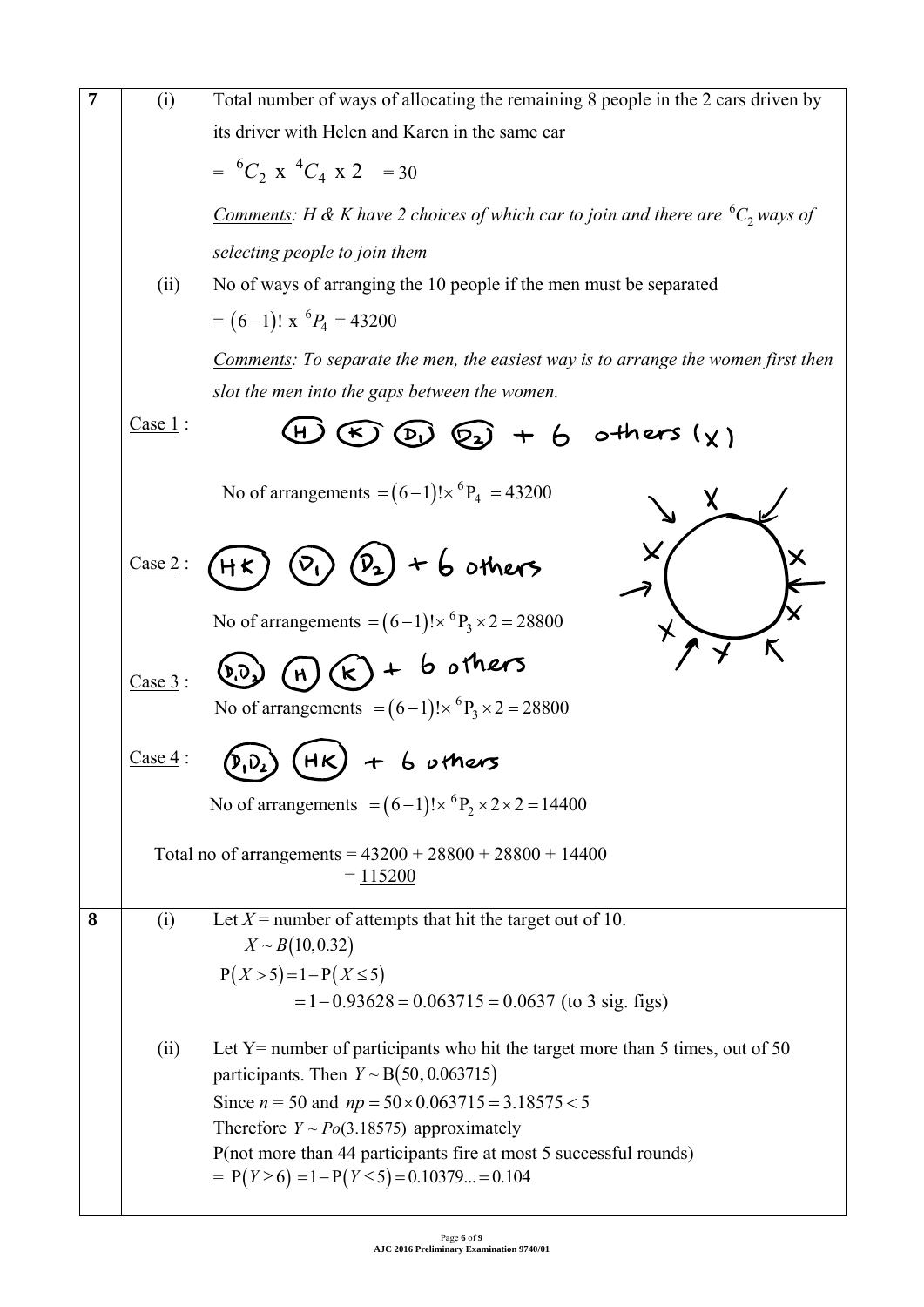| $\overline{7}$ | (i)     | Total number of ways of allocating the remaining 8 people in the 2 cars driven by                                 |
|----------------|---------|-------------------------------------------------------------------------------------------------------------------|
|                |         | its driver with Helen and Karen in the same car                                                                   |
|                |         | $= {}^{6}C_{2}$ x ${}^{4}C_{4}$ x 2 = 30                                                                          |
|                |         | <u>Comments</u> : H & K have 2 choices of which car to join and there are ${}^6C_2$ ways of                       |
|                |         | selecting people to join them                                                                                     |
|                | (ii)    | No of ways of arranging the 10 people if the men must be separated                                                |
|                |         | $= (6-1)! \times {}^{6}P_4 = 43200$                                                                               |
|                |         | <b>Comments:</b> To separate the men, the easiest way is to arrange the women first then                          |
|                |         | slot the men into the gaps between the women.                                                                     |
|                | Case 1: | $\circled{f}$ $\circled{g}$ $\circled{g}$ $+$ 6 others $(\chi)$<br>(H)                                            |
|                |         | No of arrangements = $(6-1)! \times {}^6P_4$ = 43200                                                              |
|                | Case 2: | $(p_{2}) + 6$ others<br>$\overline{v}_1$<br>H <sub>K</sub>                                                        |
|                |         | No of arrangements = $(6-1)! \times {}^{6}P_3 \times 2 = 28800$                                                   |
|                | Case 3: | $(k) + b$ others                                                                                                  |
|                |         | No of arrangements = $(6-1)! \times {}^{6}P_3 \times 2 = 28800$                                                   |
|                | Case 4: | HK<br>$+$ 6 uthers                                                                                                |
|                |         | No of arrangements = $(6-1)! \times {}^{6}P_2 \times 2 \times 2 = 14400$                                          |
|                |         | Total no of arrangements = $43200 + 28800 + 28800 + 14400$<br>$= 115200$                                          |
| 8              | (i)     | Let $X$ = number of attempts that hit the target out of 10.<br>$X \sim B(10, 0.32)$                               |
|                |         | $P(X > 5) = 1 - P(X \le 5)$                                                                                       |
|                |         | $= 1 - 0.93628 = 0.063715 = 0.0637$ (to 3 sig. figs)                                                              |
|                | (ii)    | Let Y= number of participants who hit the target more than 5 times, out of 50                                     |
|                |         | participants. Then $Y \sim B(50, 0.063715)$                                                                       |
|                |         | Since $n = 50$ and $np = 50 \times 0.063715 = 3.18575 < 5$                                                        |
|                |         | Therefore $Y \sim Po(3.18575)$ approximately<br>P(not more than 44 participants fire at most 5 successful rounds) |
|                |         | $= P(Y \ge 6) = 1 - P(Y \le 5) = 0.10379 = 0.104$                                                                 |
|                |         |                                                                                                                   |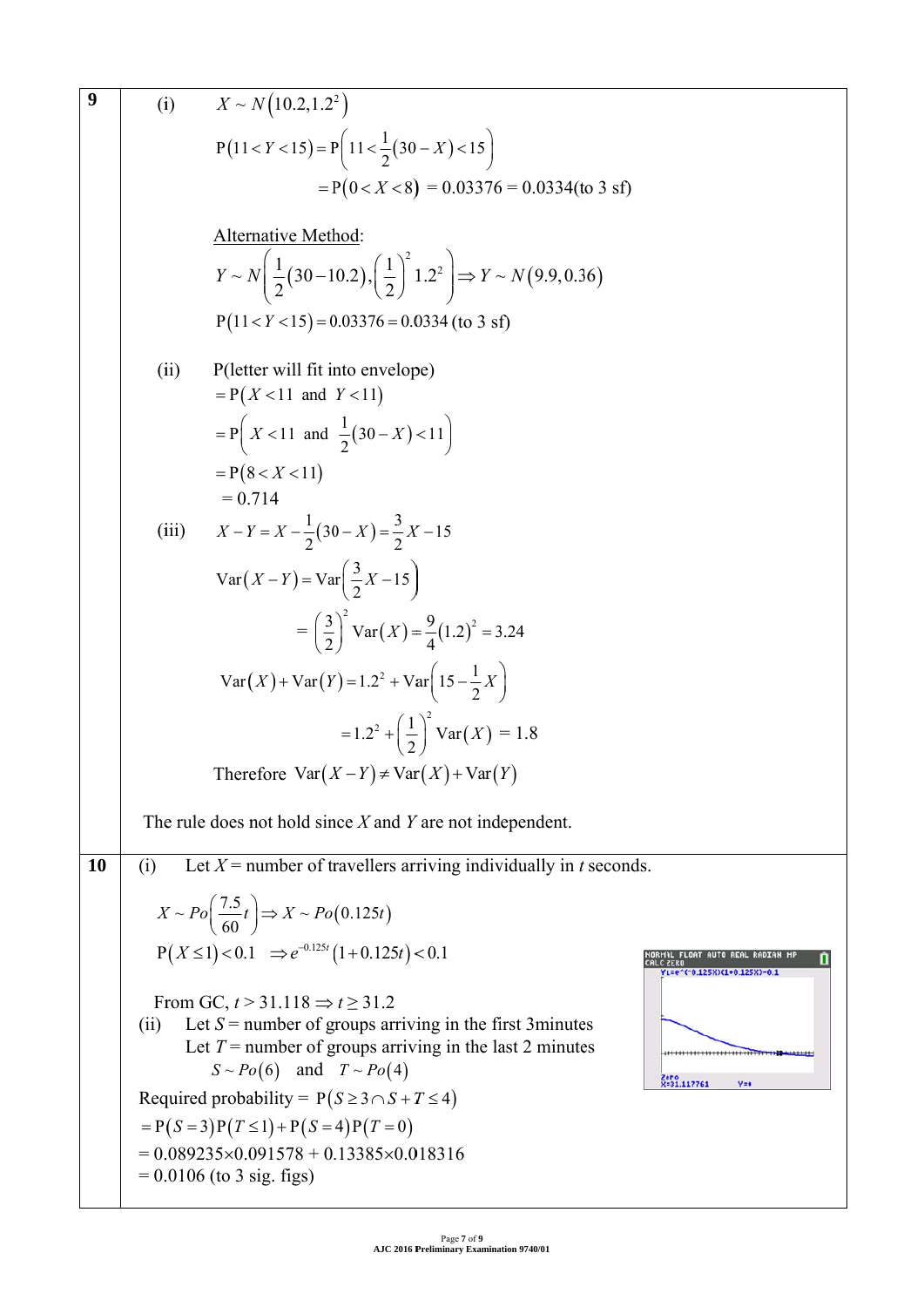9 (i) 
$$
X \sim N(10.2, 1.2^2)
$$
  
\n $P(11 < Y < 15) = P(11 < \frac{1}{2}(30 - X) < 15$   
\n $= P(0 < X < 8)$  = 0.03376 = 0.0334(to 3 s f)  
\nAlternatively Method:  
\n $Y \sim N(\frac{1}{2}(30 - 10.2), (\frac{1}{2})^2 1.2^2) \Rightarrow Y \sim N(9.9, 0.36)$   
\n $P(11 < Y < 15) = 0.03376 = 0.0334$  (to 3 s f)  
\n(iii) P(leter will fit into envelope)  
\n $= P(X < 11$  and  $Y < 11$ )  
\n $= P(8 < X < 11)$   
\n $= P(8 < X < 11)$   
\n $= P(8 < X < 11)$   
\n(ii)  $X - Y = X - \frac{1}{2}(30 - X) = \frac{3}{2}X - 15$   
\n $Var(X - Y) = Var(\frac{3}{2}X - 15)$   
\n $= (\frac{3}{2})^2 Var(X) = \frac{9}{4}(1.2)^3 = 3.24$   
\n $Var(X) + Var(Y) = 1.2^2 + Var(15 - \frac{1}{2}X)$   
\n $= 1.2^2 + (\frac{1}{2})^2 Var(X) = 1.8$   
\nTherefore  $Var(X - Y) \neq Var(X) + Var(Y)$   
\nThe rule does not hold since X and Y are not independent.  
\n10 (i) Let X = number of travels arriving individually in t seconds.  
\n $X \sim Po(\frac{7.5}{60}t) \Rightarrow X \sim Po(0.125t)$   
\n $P(X \le 1) < 0.1 \Rightarrow e^{-0.125t}(1 + 0.125t) < 0.1$   
\nFrom GC,  $t > 31.118 \Rightarrow t \ge 31.2$   
\n(ii) Let  $X =$  number of groups arriving in the first 3 minutes  
\nLet  $T =$  number of groups arriving in the first 3 minutes  
\n $1.87 \approx 0.0932550.01878 + 0.133855 \times 0.018316$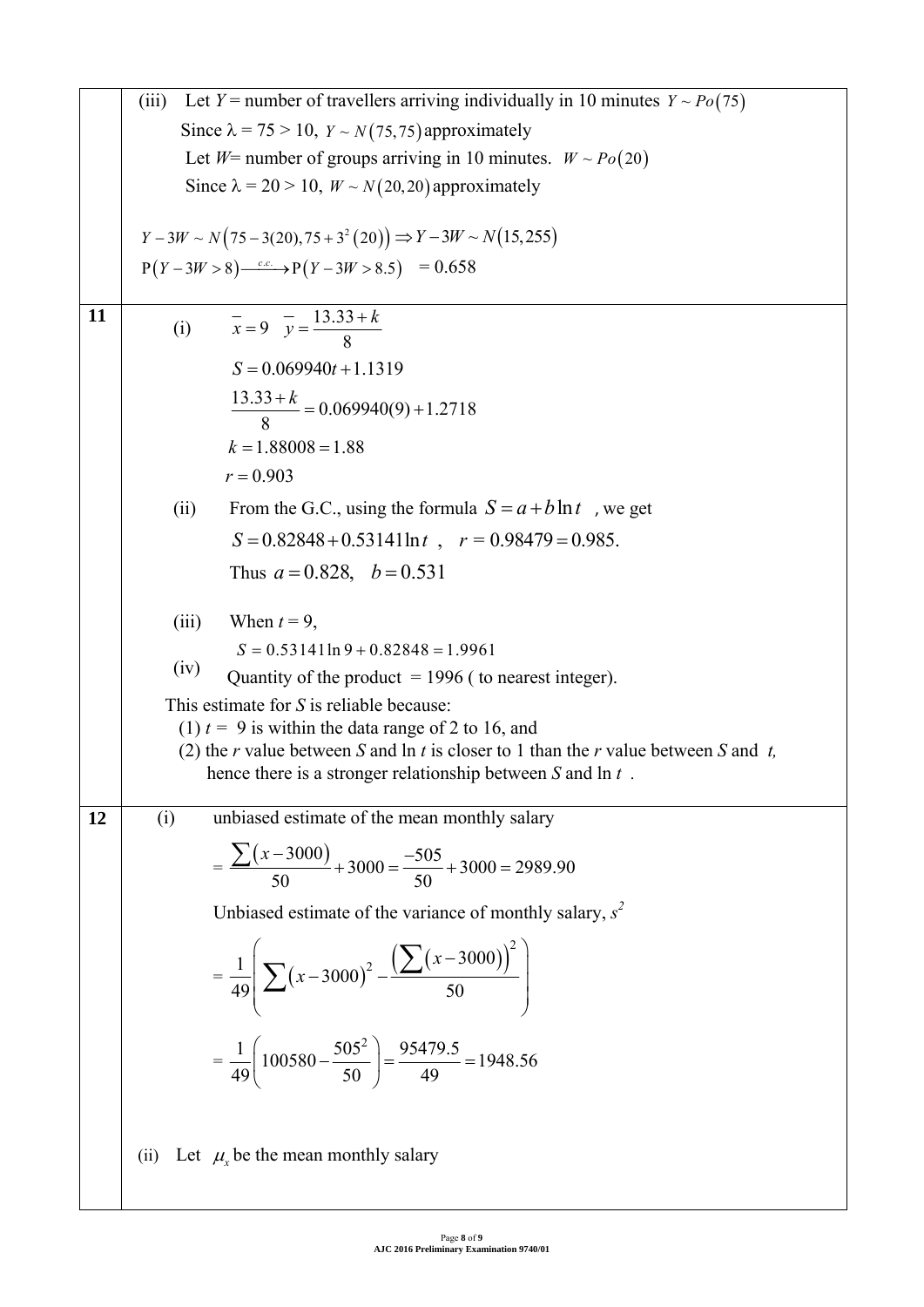|    | Let Y = number of travellers arriving individually in 10 minutes $Y \sim Po(75)$<br>(iii)                                                      |  |  |  |  |  |
|----|------------------------------------------------------------------------------------------------------------------------------------------------|--|--|--|--|--|
|    | Since $\lambda$ = 75 > 10, $Y \sim N(75, 75)$ approximately                                                                                    |  |  |  |  |  |
|    | Let $W$ = number of groups arriving in 10 minutes. $W \sim Po(20)$                                                                             |  |  |  |  |  |
|    | Since $\lambda = 20 > 10$ , $W \sim N(20, 20)$ approximately                                                                                   |  |  |  |  |  |
|    |                                                                                                                                                |  |  |  |  |  |
|    | $Y-3W \sim N(75-3(20), 75+3^2(20)) \Rightarrow Y-3W \sim N(15, 255)$                                                                           |  |  |  |  |  |
|    | $P(Y-3W>8)$ $\xrightarrow{c.c.} P(Y-3W>8.5) = 0.658$                                                                                           |  |  |  |  |  |
|    |                                                                                                                                                |  |  |  |  |  |
| 11 | (i) $\overline{x} = 9$ $\overline{y} = \frac{13.33 + k}{8}$                                                                                    |  |  |  |  |  |
|    | $S = 0.069940t + 1.1319$                                                                                                                       |  |  |  |  |  |
|    |                                                                                                                                                |  |  |  |  |  |
|    | $\frac{13.33+k}{8} = 0.069940(9) + 1.2718$                                                                                                     |  |  |  |  |  |
|    | $k = 1.88008 = 1.88$                                                                                                                           |  |  |  |  |  |
|    | $r = 0.903$                                                                                                                                    |  |  |  |  |  |
|    | From the G.C., using the formula $S = a + b \ln t$ , we get<br>(ii)                                                                            |  |  |  |  |  |
|    | $S = 0.82848 + 0.53141 \ln t$ , $r = 0.98479 = 0.985$ .                                                                                        |  |  |  |  |  |
|    | Thus $a = 0.828$ , $b = 0.531$                                                                                                                 |  |  |  |  |  |
|    |                                                                                                                                                |  |  |  |  |  |
|    | When $t = 9$ ,<br>(iii)                                                                                                                        |  |  |  |  |  |
|    | $S = 0.53141 \ln 9 + 0.82848 = 1.9961$                                                                                                         |  |  |  |  |  |
|    | (iv)<br>Quantity of the product $= 1996$ (to nearest integer).                                                                                 |  |  |  |  |  |
|    | This estimate for $S$ is reliable because:                                                                                                     |  |  |  |  |  |
|    | (1) $t = 9$ is within the data range of 2 to 16, and<br>(2) the r value between S and $\ln t$ is closer to 1 than the r value between S and t, |  |  |  |  |  |
|    | hence there is a stronger relationship between $S$ and $\ln t$ .                                                                               |  |  |  |  |  |
|    |                                                                                                                                                |  |  |  |  |  |
| 12 | unbiased estimate of the mean monthly salary<br>(i)                                                                                            |  |  |  |  |  |
|    | $=\frac{\sum (x-3000)}{50}+3000=\frac{-505}{50}+3000=2989.90$                                                                                  |  |  |  |  |  |
|    |                                                                                                                                                |  |  |  |  |  |
|    | Unbiased estimate of the variance of monthly salary, $s^2$                                                                                     |  |  |  |  |  |
|    | $=\frac{1}{49}\left[\sum (x-3000)^2 - \frac{(\sum (x-3000))^2}{50}\right]$                                                                     |  |  |  |  |  |
|    | $=\frac{1}{49}\left(100580-\frac{505^2}{50}\right)=\frac{95479.5}{49}=1948.56$                                                                 |  |  |  |  |  |
|    | Let $\mu$ <sub>x</sub> be the mean monthly salary<br>(ii)                                                                                      |  |  |  |  |  |